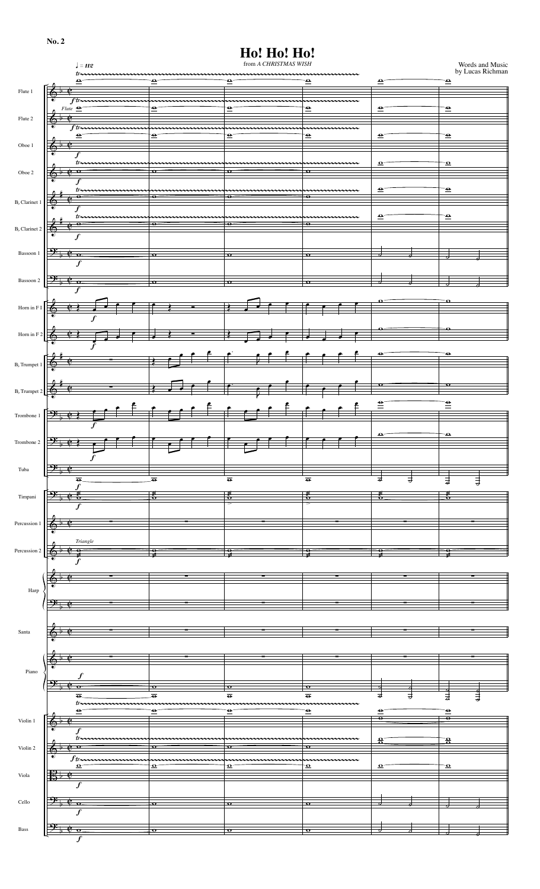| ٠ |  |
|---|--|
|   |  |

## **Ho! Ho! Ho!**

|                           | $\pmb{\mathcal{J}} = \pmb{H}\pmb{\mathcal{Z}}$                                                                                                                                                                                                                                                                                                                                                                                                                                                                                                                                                                                                       |      |                                      | from A CHRISTMAS WISH             |                                                 |                                   | Words and Music<br>by Lucas Richman |
|---------------------------|------------------------------------------------------------------------------------------------------------------------------------------------------------------------------------------------------------------------------------------------------------------------------------------------------------------------------------------------------------------------------------------------------------------------------------------------------------------------------------------------------------------------------------------------------------------------------------------------------------------------------------------------------|------|--------------------------------------|-----------------------------------|-------------------------------------------------|-----------------------------------|-------------------------------------|
|                           | $t$ <i>x</i><br>$\bullet$                                                                                                                                                                                                                                                                                                                                                                                                                                                                                                                                                                                                                            |      | $\bullet$                            | $\overline{\bullet}$              | nnnnnnnnnnnnnnnnn<br>$\bullet$                  | $\mathbf{P}$                      | $\mathbf{P}$                        |
| Flute 1                   | $\overline{\bullet}$<br>Þ                                                                                                                                                                                                                                                                                                                                                                                                                                                                                                                                                                                                                            |      |                                      |                                   |                                                 |                                   |                                     |
|                           | $f$ <i>tr</i> $\overline{f}$<br>$Flute \trianglelefteq$                                                                                                                                                                                                                                                                                                                                                                                                                                                                                                                                                                                              |      | $\bullet$                            | ⊖                                 | $\bullet$                                       | $\bullet$                         | $\bullet$                           |
| Flute 2                   | $\Phi^{\triangleright}$                                                                                                                                                                                                                                                                                                                                                                                                                                                                                                                                                                                                                              |      |                                      |                                   |                                                 |                                   |                                     |
|                           | ftm<br>$\bullet$                                                                                                                                                                                                                                                                                                                                                                                                                                                                                                                                                                                                                                     |      | $\bullet$                            | $\overline{\bullet}$              | $\overline{\bullet}$                            | $\mathbf{e}$                      | $\overline{\bullet}$                |
| Oboe $1\,$                |                                                                                                                                                                                                                                                                                                                                                                                                                                                                                                                                                                                                                                                      |      |                                      |                                   |                                                 |                                   |                                     |
|                           | f                                                                                                                                                                                                                                                                                                                                                                                                                                                                                                                                                                                                                                                    |      |                                      |                                   |                                                 |                                   |                                     |
| Oboe $2\,$                | $tr_{\sim}$<br>• •                                                                                                                                                                                                                                                                                                                                                                                                                                                                                                                                                                                                                                   |      | $\mathbf{\sigma}$                    | $\mathbf{\sigma}$                 | $\mathbf{o}$                                    | $\mathbf{\Omega}^-$               | $\boldsymbol{\Omega}$               |
|                           | f                                                                                                                                                                                                                                                                                                                                                                                                                                                                                                                                                                                                                                                    |      |                                      |                                   |                                                 |                                   |                                     |
|                           | $tr_{\rightarrow}$<br>$\bullet$                                                                                                                                                                                                                                                                                                                                                                                                                                                                                                                                                                                                                      |      | $\bullet$                            | $\overline{\mathbf{e}}$           | $\overline{\bullet}$                            | $\mathbf{P}$                      | $\overline{\bullet}$                |
| $Bb$ Clarinet 1           | Ó                                                                                                                                                                                                                                                                                                                                                                                                                                                                                                                                                                                                                                                    |      |                                      |                                   |                                                 |                                   |                                     |
|                           | tr.<br>$\bullet$                                                                                                                                                                                                                                                                                                                                                                                                                                                                                                                                                                                                                                     |      | $\bullet$                            | $\bullet$                         | $\bullet$                                       | $\bullet$                         | $\overline{\bullet}$                |
| B <sub>b</sub> Clarinet 2 | 6<br>∙<br>$\boldsymbol{f}$                                                                                                                                                                                                                                                                                                                                                                                                                                                                                                                                                                                                                           |      |                                      |                                   |                                                 |                                   |                                     |
|                           |                                                                                                                                                                                                                                                                                                                                                                                                                                                                                                                                                                                                                                                      |      |                                      |                                   |                                                 |                                   |                                     |
| Bassoon $1\,$             | $\mathbf{\Theta}^{\mathbf{\cdot}}$<br>$^{\circ}$ $\circ$<br>$\boldsymbol{f}$                                                                                                                                                                                                                                                                                                                                                                                                                                                                                                                                                                         |      | $\mathbf{o}$                         | $\bullet$                         | $\bullet$                                       |                                   |                                     |
|                           |                                                                                                                                                                                                                                                                                                                                                                                                                                                                                                                                                                                                                                                      |      |                                      |                                   |                                                 |                                   |                                     |
| Bassoon 2                 | <u>ு:</u><br>$\mathbf{e}$ $\alpha$                                                                                                                                                                                                                                                                                                                                                                                                                                                                                                                                                                                                                   |      | $\overline{\mathbf{o}}$              | $\mathbf{o}$                      | $\bullet$                                       | ℴ                                 |                                     |
|                           |                                                                                                                                                                                                                                                                                                                                                                                                                                                                                                                                                                                                                                                      |      |                                      |                                   |                                                 | o                                 | $\mathbf \Omega$                    |
| Horn in ${\rm F\,I}$      |                                                                                                                                                                                                                                                                                                                                                                                                                                                                                                                                                                                                                                                      |      |                                      | ₹                                 |                                                 |                                   |                                     |
|                           | f                                                                                                                                                                                                                                                                                                                                                                                                                                                                                                                                                                                                                                                    |      |                                      |                                   |                                                 |                                   |                                     |
| Horn in F 2               |                                                                                                                                                                                                                                                                                                                                                                                                                                                                                                                                                                                                                                                      |      |                                      |                                   |                                                 |                                   |                                     |
|                           | f                                                                                                                                                                                                                                                                                                                                                                                                                                                                                                                                                                                                                                                    |      |                                      |                                   |                                                 | ⊖                                 | $\bullet$                           |
| B <sub>b</sub> Trumpet 1  |                                                                                                                                                                                                                                                                                                                                                                                                                                                                                                                                                                                                                                                      |      |                                      |                                   |                                                 |                                   |                                     |
|                           |                                                                                                                                                                                                                                                                                                                                                                                                                                                                                                                                                                                                                                                      |      |                                      |                                   |                                                 |                                   |                                     |
| B <sub>b</sub> Trumpet 2  |                                                                                                                                                                                                                                                                                                                                                                                                                                                                                                                                                                                                                                                      |      |                                      | ß                                 |                                                 | $\mathbf{o}$                      | $\mathbf{o}$                        |
|                           |                                                                                                                                                                                                                                                                                                                                                                                                                                                                                                                                                                                                                                                      |      |                                      |                                   |                                                 | $\equiv$                          | $\stackrel{\bullet}{=}$             |
| Trombone 1                | $\mathbf{P}$<br>¢                                                                                                                                                                                                                                                                                                                                                                                                                                                                                                                                                                                                                                    |      |                                      |                                   |                                                 |                                   |                                     |
|                           | f                                                                                                                                                                                                                                                                                                                                                                                                                                                                                                                                                                                                                                                    |      |                                      |                                   |                                                 |                                   |                                     |
| Trombone 2                | $\mathbf{P}$<br>$\mathbf{e}$                                                                                                                                                                                                                                                                                                                                                                                                                                                                                                                                                                                                                         |      |                                      |                                   |                                                 | $\bullet$                         | Ф                                   |
|                           | $\boldsymbol{f}$                                                                                                                                                                                                                                                                                                                                                                                                                                                                                                                                                                                                                                     |      |                                      |                                   |                                                 |                                   |                                     |
| Tuba                      | $\mathbf{P}$                                                                                                                                                                                                                                                                                                                                                                                                                                                                                                                                                                                                                                         |      |                                      |                                   |                                                 |                                   |                                     |
|                           | $\overline{\bullet}$                                                                                                                                                                                                                                                                                                                                                                                                                                                                                                                                                                                                                                 |      | $\overline{\bullet}$                 | $\overline{\bullet}$              | $\overline{\bullet}$                            | 긓<br>す                            | $\frac{1}{9}$<br>$\exists$          |
| Timpani                   | $\boldsymbol{f}$<br>¢ ź<br><del>9:</del>                                                                                                                                                                                                                                                                                                                                                                                                                                                                                                                                                                                                             |      | $\epsilon$                           | $\frac{2}{3}$                     | ేం                                              | ő                                 | ័                                   |
|                           | $\overline{f}$                                                                                                                                                                                                                                                                                                                                                                                                                                                                                                                                                                                                                                       |      |                                      | ≂                                 | ≂                                               |                                   |                                     |
| Percussion 1              |                                                                                                                                                                                                                                                                                                                                                                                                                                                                                                                                                                                                                                                      |      |                                      |                                   |                                                 |                                   |                                     |
|                           |                                                                                                                                                                                                                                                                                                                                                                                                                                                                                                                                                                                                                                                      |      |                                      |                                   |                                                 |                                   |                                     |
| Percussion 2              | $\label{pr} Triangle% \begin{pmatrix} \frac{\partial }{\partial x^{\mu}} & \frac{\partial }{\partial y^{\mu}} & \frac{\partial }{\partial y^{\mu}} & \frac{\partial }{\partial y^{\mu}} & \frac{\partial }{\partial y^{\mu}} & \frac{\partial }{\partial y^{\mu}} & \frac{\partial }{\partial y^{\mu}} & \frac{\partial }{\partial y^{\mu}} & \frac{\partial }{\partial y^{\mu}} & \frac{\partial }{\partial y^{\mu}} & \frac{\partial }{\partial y^{\mu}} & \frac{\partial }{\partial y^{\mu}} & \frac{\partial }{\partial y^{\mu}} & \frac{\partial }{\partial y^{\mu}} & \frac{\partial }{\partial y^{\mu}} & \frac{\partial }{\partial y^{\mu}}$ |      |                                      |                                   |                                                 |                                   |                                     |
|                           | ş<br>$\overline{\boldsymbol{f}}$                                                                                                                                                                                                                                                                                                                                                                                                                                                                                                                                                                                                                     |      | $\frac{9}{2}$                        | $\frac{1}{2}$                     | ₹                                               | ş                                 | ş                                   |
|                           |                                                                                                                                                                                                                                                                                                                                                                                                                                                                                                                                                                                                                                                      |      |                                      |                                   |                                                 |                                   |                                     |
|                           |                                                                                                                                                                                                                                                                                                                                                                                                                                                                                                                                                                                                                                                      |      |                                      |                                   |                                                 |                                   |                                     |
| Harp                      |                                                                                                                                                                                                                                                                                                                                                                                                                                                                                                                                                                                                                                                      |      |                                      |                                   |                                                 |                                   |                                     |
|                           |                                                                                                                                                                                                                                                                                                                                                                                                                                                                                                                                                                                                                                                      |      |                                      |                                   |                                                 |                                   |                                     |
|                           |                                                                                                                                                                                                                                                                                                                                                                                                                                                                                                                                                                                                                                                      |      |                                      |                                   |                                                 |                                   |                                     |
| Santa                     |                                                                                                                                                                                                                                                                                                                                                                                                                                                                                                                                                                                                                                                      |      |                                      |                                   |                                                 |                                   |                                     |
|                           |                                                                                                                                                                                                                                                                                                                                                                                                                                                                                                                                                                                                                                                      |      |                                      |                                   |                                                 |                                   |                                     |
|                           |                                                                                                                                                                                                                                                                                                                                                                                                                                                                                                                                                                                                                                                      |      |                                      |                                   |                                                 |                                   |                                     |
| Piano                     |                                                                                                                                                                                                                                                                                                                                                                                                                                                                                                                                                                                                                                                      |      |                                      |                                   |                                                 |                                   |                                     |
|                           |                                                                                                                                                                                                                                                                                                                                                                                                                                                                                                                                                                                                                                                      |      | $\mathbf{o}$<br>$\overline{\bullet}$ | $\bullet$<br>$\overline{\bullet}$ | $\overline{\mathbf{o}}$<br>$\overline{\bullet}$ | ಕ                                 |                                     |
|                           | $\overline{\bullet}$<br>tr                                                                                                                                                                                                                                                                                                                                                                                                                                                                                                                                                                                                                           | mmmm |                                      | $\widetilde{\phantom{a}}$         | nnnnnnnnn                                       | ヺ                                 | 긓<br>₹                              |
| Violin 1                  | $\ddot{\phantom{0}}$                                                                                                                                                                                                                                                                                                                                                                                                                                                                                                                                                                                                                                 |      | $\bullet$                            | $\bullet$                         | $\bullet$                                       | $\bullet$<br>$\overline{\bullet}$ | ≘<br>$\overline{\bullet}$           |
|                           | $\overline{\mathbb{O}^{\frac{1}{p}}}$<br>$\mathbf{f}$                                                                                                                                                                                                                                                                                                                                                                                                                                                                                                                                                                                                |      |                                      |                                   |                                                 |                                   |                                     |
|                           | $tr_{\rightarrow}$                                                                                                                                                                                                                                                                                                                                                                                                                                                                                                                                                                                                                                   |      | o                                    | $\mathbf o$                       | $\mathbf o$                                     | $\frac{\mathbf{o}}{\mathbf{o}}$   | $\frac{\mathbf{o}}{\mathbf{o}}$     |
| Violin 2                  | ⊕<br>∙<br>$f_{trum}$                                                                                                                                                                                                                                                                                                                                                                                                                                                                                                                                                                                                                                 |      |                                      |                                   |                                                 |                                   |                                     |
|                           | $\mathbf{\Omega}$                                                                                                                                                                                                                                                                                                                                                                                                                                                                                                                                                                                                                                    |      | $\mathbf{Q}$                         | $\mathbf{\Omega}$                 | $\boldsymbol{\Omega}$                           | $\mathbf{Q}^{\pi}$                | $\boldsymbol{\Omega}$               |
| Viola                     | $\boldsymbol{f}$                                                                                                                                                                                                                                                                                                                                                                                                                                                                                                                                                                                                                                     |      |                                      |                                   |                                                 |                                   |                                     |
|                           |                                                                                                                                                                                                                                                                                                                                                                                                                                                                                                                                                                                                                                                      |      |                                      |                                   |                                                 |                                   |                                     |
| Cello                     | ᢣ<br>$\mathbf{\mathfrak{C}}^-$ o                                                                                                                                                                                                                                                                                                                                                                                                                                                                                                                                                                                                                     |      | $\overline{\mathbf{o}}$              | $\mathbf{o}$                      | $\bullet$                                       |                                   |                                     |
|                           | $\boldsymbol{f}$                                                                                                                                                                                                                                                                                                                                                                                                                                                                                                                                                                                                                                     |      |                                      |                                   |                                                 |                                   |                                     |
| Bass                      | <u>о.</u>                                                                                                                                                                                                                                                                                                                                                                                                                                                                                                                                                                                                                                            |      | $\Omega$                             | $\Omega$                          | $\Omega$                                        |                                   |                                     |
|                           | $\boldsymbol{f}$                                                                                                                                                                                                                                                                                                                                                                                                                                                                                                                                                                                                                                     |      |                                      |                                   |                                                 |                                   |                                     |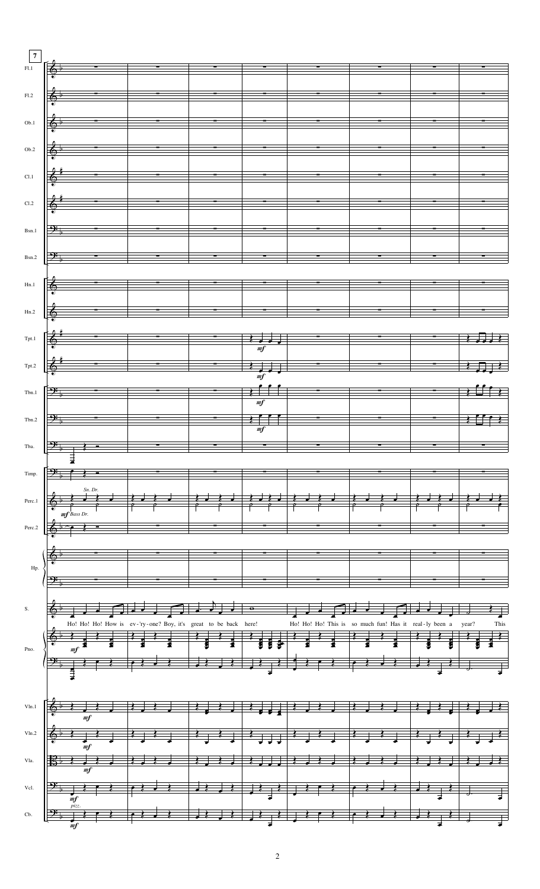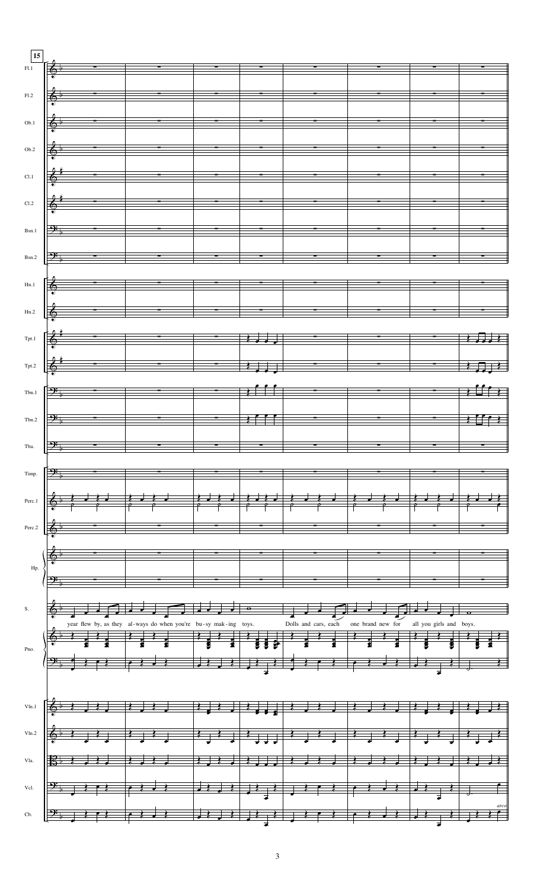| 15<br>F1.1              | $\begin{array}{ccc} \text{\large $\langle$}\phi\end{array}$ , where the contract of the contract of the contract of the contract of the contract of the contract of the contract of the contract of the contract of the contract of the contract of the contract                                                                                                                                                                                                                                                                  |                                                                                                                                                                                                                                                                                                                        |                          |  |                            |                                                                                                               |
|-------------------------|-----------------------------------------------------------------------------------------------------------------------------------------------------------------------------------------------------------------------------------------------------------------------------------------------------------------------------------------------------------------------------------------------------------------------------------------------------------------------------------------------------------------------------------|------------------------------------------------------------------------------------------------------------------------------------------------------------------------------------------------------------------------------------------------------------------------------------------------------------------------|--------------------------|--|----------------------------|---------------------------------------------------------------------------------------------------------------|
|                         |                                                                                                                                                                                                                                                                                                                                                                                                                                                                                                                                   |                                                                                                                                                                                                                                                                                                                        |                          |  |                            |                                                                                                               |
|                         |                                                                                                                                                                                                                                                                                                                                                                                                                                                                                                                                   |                                                                                                                                                                                                                                                                                                                        |                          |  |                            |                                                                                                               |
| F1.2                    | $\begin{array}{c c c c c c} \hline \multicolumn{3}{c }{\textbf{\large$\bullet$}} & \multicolumn{3}{c }{\textbf{\large$\bullet$}} & \multicolumn{3}{c }{\textbf{\large$\bullet$}} \\ \hline \multicolumn{3}{c }{\textbf{\large$\bullet$}} & \multicolumn{3}{c }{\textbf{\large$\bullet$}} & \multicolumn{3}{c }{\textbf{\large$\bullet$}} & \multicolumn{3}{c }{\textbf{\large$\bullet$}} \\ \hline \multicolumn{3}{c }{\textbf{\large$\bullet$}} & \multicolumn{3}{c }{\textbf{\large$\bullet$}} & \multicolumn{3}{c }{\textbf{\$ |                                                                                                                                                                                                                                                                                                                        |                          |  |                            |                                                                                                               |
|                         |                                                                                                                                                                                                                                                                                                                                                                                                                                                                                                                                   |                                                                                                                                                                                                                                                                                                                        |                          |  |                            |                                                                                                               |
|                         | $\begin{array}{ c c c c c c c c c } \hline \bullet & \bullet & \bullet & \bullet & \bullet \ \hline \bullet & \bullet & \bullet & \bullet & \bullet & \bullet \ \hline \bullet & \bullet & \bullet & \bullet & \bullet & \bullet & \bullet \end{array}$                                                                                                                                                                                                                                                                           |                                                                                                                                                                                                                                                                                                                        |                          |  |                            |                                                                                                               |
| Ob.1                    |                                                                                                                                                                                                                                                                                                                                                                                                                                                                                                                                   |                                                                                                                                                                                                                                                                                                                        |                          |  |                            |                                                                                                               |
|                         |                                                                                                                                                                                                                                                                                                                                                                                                                                                                                                                                   |                                                                                                                                                                                                                                                                                                                        |                          |  |                            |                                                                                                               |
| Ob.2                    |                                                                                                                                                                                                                                                                                                                                                                                                                                                                                                                                   |                                                                                                                                                                                                                                                                                                                        |                          |  |                            |                                                                                                               |
|                         |                                                                                                                                                                                                                                                                                                                                                                                                                                                                                                                                   |                                                                                                                                                                                                                                                                                                                        |                          |  |                            |                                                                                                               |
|                         |                                                                                                                                                                                                                                                                                                                                                                                                                                                                                                                                   |                                                                                                                                                                                                                                                                                                                        |                          |  |                            |                                                                                                               |
| Cl.1                    |                                                                                                                                                                                                                                                                                                                                                                                                                                                                                                                                   |                                                                                                                                                                                                                                                                                                                        |                          |  |                            |                                                                                                               |
|                         |                                                                                                                                                                                                                                                                                                                                                                                                                                                                                                                                   |                                                                                                                                                                                                                                                                                                                        |                          |  |                            |                                                                                                               |
|                         |                                                                                                                                                                                                                                                                                                                                                                                                                                                                                                                                   |                                                                                                                                                                                                                                                                                                                        |                          |  |                            |                                                                                                               |
| Cl.2                    | $\frac{2}{3}$                                                                                                                                                                                                                                                                                                                                                                                                                                                                                                                     |                                                                                                                                                                                                                                                                                                                        |                          |  |                            |                                                                                                               |
|                         |                                                                                                                                                                                                                                                                                                                                                                                                                                                                                                                                   |                                                                                                                                                                                                                                                                                                                        |                          |  |                            |                                                                                                               |
|                         |                                                                                                                                                                                                                                                                                                                                                                                                                                                                                                                                   |                                                                                                                                                                                                                                                                                                                        |                          |  |                            |                                                                                                               |
| Bsn.1                   | $\mathcal{P}_\flat$ . The contract of the contract of the contract of the contract of the contract of the contract of the contract of the contract of the contract of the contract of the contract of the contract of the contract of                                                                                                                                                                                                                                                                                             |                                                                                                                                                                                                                                                                                                                        |                          |  |                            |                                                                                                               |
|                         |                                                                                                                                                                                                                                                                                                                                                                                                                                                                                                                                   |                                                                                                                                                                                                                                                                                                                        |                          |  |                            |                                                                                                               |
|                         |                                                                                                                                                                                                                                                                                                                                                                                                                                                                                                                                   |                                                                                                                                                                                                                                                                                                                        |                          |  |                            |                                                                                                               |
|                         | $Bsn.2$ $\frac{O+1}{P}$                                                                                                                                                                                                                                                                                                                                                                                                                                                                                                           |                                                                                                                                                                                                                                                                                                                        |                          |  |                            |                                                                                                               |
|                         |                                                                                                                                                                                                                                                                                                                                                                                                                                                                                                                                   |                                                                                                                                                                                                                                                                                                                        |                          |  |                            |                                                                                                               |
|                         |                                                                                                                                                                                                                                                                                                                                                                                                                                                                                                                                   |                                                                                                                                                                                                                                                                                                                        |                          |  |                            |                                                                                                               |
| Hn.1                    | $\frac{2}{3}$                                                                                                                                                                                                                                                                                                                                                                                                                                                                                                                     |                                                                                                                                                                                                                                                                                                                        |                          |  |                            |                                                                                                               |
|                         |                                                                                                                                                                                                                                                                                                                                                                                                                                                                                                                                   |                                                                                                                                                                                                                                                                                                                        |                          |  |                            |                                                                                                               |
|                         | Hn.2                                                                                                                                                                                                                                                                                                                                                                                                                                                                                                                              |                                                                                                                                                                                                                                                                                                                        |                          |  |                            |                                                                                                               |
|                         |                                                                                                                                                                                                                                                                                                                                                                                                                                                                                                                                   |                                                                                                                                                                                                                                                                                                                        |                          |  |                            |                                                                                                               |
|                         |                                                                                                                                                                                                                                                                                                                                                                                                                                                                                                                                   |                                                                                                                                                                                                                                                                                                                        |                          |  |                            |                                                                                                               |
| Tpt.1                   |                                                                                                                                                                                                                                                                                                                                                                                                                                                                                                                                   |                                                                                                                                                                                                                                                                                                                        |                          |  | $\overline{\phantom{a}}$   |                                                                                                               |
|                         |                                                                                                                                                                                                                                                                                                                                                                                                                                                                                                                                   |                                                                                                                                                                                                                                                                                                                        |                          |  |                            |                                                                                                               |
|                         |                                                                                                                                                                                                                                                                                                                                                                                                                                                                                                                                   |                                                                                                                                                                                                                                                                                                                        |                          |  |                            |                                                                                                               |
|                         | $T_{\text{pt,2}}$ $\left[\begin{array}{ccc} \frac{1}{2} & \frac{1}{2} & \frac{1}{2} \\ \frac{1}{2} & \frac{1}{2} & \frac{1}{2} \\ \frac{1}{2} & \frac{1}{2} & \frac{1}{2} \end{array} \right]$                                                                                                                                                                                                                                                                                                                                    |                                                                                                                                                                                                                                                                                                                        |                          |  |                            |                                                                                                               |
|                         |                                                                                                                                                                                                                                                                                                                                                                                                                                                                                                                                   |                                                                                                                                                                                                                                                                                                                        |                          |  |                            |                                                                                                               |
|                         |                                                                                                                                                                                                                                                                                                                                                                                                                                                                                                                                   |                                                                                                                                                                                                                                                                                                                        |                          |  |                            |                                                                                                               |
| $_{\rm Tbn.1}$          |                                                                                                                                                                                                                                                                                                                                                                                                                                                                                                                                   |                                                                                                                                                                                                                                                                                                                        |                          |  |                            |                                                                                                               |
|                         |                                                                                                                                                                                                                                                                                                                                                                                                                                                                                                                                   |                                                                                                                                                                                                                                                                                                                        |                          |  |                            |                                                                                                               |
|                         |                                                                                                                                                                                                                                                                                                                                                                                                                                                                                                                                   |                                                                                                                                                                                                                                                                                                                        |                          |  |                            |                                                                                                               |
| Tbn.2                   |                                                                                                                                                                                                                                                                                                                                                                                                                                                                                                                                   | $\overline{\phantom{a}}$                                                                                                                                                                                                                                                                                               | $\overline{\phantom{a}}$ |  |                            |                                                                                                               |
|                         |                                                                                                                                                                                                                                                                                                                                                                                                                                                                                                                                   |                                                                                                                                                                                                                                                                                                                        |                          |  |                            |                                                                                                               |
|                         |                                                                                                                                                                                                                                                                                                                                                                                                                                                                                                                                   |                                                                                                                                                                                                                                                                                                                        |                          |  |                            |                                                                                                               |
|                         | $\overline{\mathbf{P}$                                                                                                                                                                                                                                                                                                                                                                                                                                                                                                            | <u> a serie de la construcción de la construcción de la construcción de la construcción de la construcción de la c</u>                                                                                                                                                                                                 |                          |  | $\sim$ 100 $\pm$ 100 $\pm$ |                                                                                                               |
|                         |                                                                                                                                                                                                                                                                                                                                                                                                                                                                                                                                   |                                                                                                                                                                                                                                                                                                                        |                          |  |                            |                                                                                                               |
|                         |                                                                                                                                                                                                                                                                                                                                                                                                                                                                                                                                   |                                                                                                                                                                                                                                                                                                                        |                          |  |                            |                                                                                                               |
|                         |                                                                                                                                                                                                                                                                                                                                                                                                                                                                                                                                   |                                                                                                                                                                                                                                                                                                                        |                          |  |                            |                                                                                                               |
| Timp.                   |                                                                                                                                                                                                                                                                                                                                                                                                                                                                                                                                   |                                                                                                                                                                                                                                                                                                                        |                          |  |                            |                                                                                                               |
|                         |                                                                                                                                                                                                                                                                                                                                                                                                                                                                                                                                   |                                                                                                                                                                                                                                                                                                                        |                          |  |                            |                                                                                                               |
|                         |                                                                                                                                                                                                                                                                                                                                                                                                                                                                                                                                   |                                                                                                                                                                                                                                                                                                                        |                          |  |                            |                                                                                                               |
| $\mbox{Perc.1}$         |                                                                                                                                                                                                                                                                                                                                                                                                                                                                                                                                   |                                                                                                                                                                                                                                                                                                                        |                          |  |                            |                                                                                                               |
|                         |                                                                                                                                                                                                                                                                                                                                                                                                                                                                                                                                   |                                                                                                                                                                                                                                                                                                                        |                          |  |                            |                                                                                                               |
| Tba.<br>$\mbox{Perc.2}$ |                                                                                                                                                                                                                                                                                                                                                                                                                                                                                                                                   |                                                                                                                                                                                                                                                                                                                        |                          |  |                            |                                                                                                               |
|                         |                                                                                                                                                                                                                                                                                                                                                                                                                                                                                                                                   |                                                                                                                                                                                                                                                                                                                        |                          |  |                            |                                                                                                               |
|                         |                                                                                                                                                                                                                                                                                                                                                                                                                                                                                                                                   |                                                                                                                                                                                                                                                                                                                        |                          |  |                            |                                                                                                               |
|                         |                                                                                                                                                                                                                                                                                                                                                                                                                                                                                                                                   |                                                                                                                                                                                                                                                                                                                        |                          |  |                            |                                                                                                               |
| Hp.                     |                                                                                                                                                                                                                                                                                                                                                                                                                                                                                                                                   |                                                                                                                                                                                                                                                                                                                        |                          |  |                            |                                                                                                               |
|                         |                                                                                                                                                                                                                                                                                                                                                                                                                                                                                                                                   |                                                                                                                                                                                                                                                                                                                        |                          |  |                            |                                                                                                               |
|                         |                                                                                                                                                                                                                                                                                                                                                                                                                                                                                                                                   |                                                                                                                                                                                                                                                                                                                        |                          |  |                            |                                                                                                               |
|                         |                                                                                                                                                                                                                                                                                                                                                                                                                                                                                                                                   |                                                                                                                                                                                                                                                                                                                        |                          |  |                            |                                                                                                               |
| ${\bf S}.$              |                                                                                                                                                                                                                                                                                                                                                                                                                                                                                                                                   |                                                                                                                                                                                                                                                                                                                        |                          |  |                            |                                                                                                               |
|                         |                                                                                                                                                                                                                                                                                                                                                                                                                                                                                                                                   |                                                                                                                                                                                                                                                                                                                        |                          |  |                            |                                                                                                               |
|                         |                                                                                                                                                                                                                                                                                                                                                                                                                                                                                                                                   |                                                                                                                                                                                                                                                                                                                        |                          |  |                            |                                                                                                               |
|                         |                                                                                                                                                                                                                                                                                                                                                                                                                                                                                                                                   |                                                                                                                                                                                                                                                                                                                        |                          |  |                            |                                                                                                               |
| Pno.                    |                                                                                                                                                                                                                                                                                                                                                                                                                                                                                                                                   |                                                                                                                                                                                                                                                                                                                        |                          |  |                            |                                                                                                               |
|                         | example by, as they al-ways do when you're bu-sy mak-ing toys. Dolls and cars, each one brand new for all you girls and boys.                                                                                                                                                                                                                                                                                                                                                                                                     |                                                                                                                                                                                                                                                                                                                        |                          |  |                            |                                                                                                               |
|                         |                                                                                                                                                                                                                                                                                                                                                                                                                                                                                                                                   |                                                                                                                                                                                                                                                                                                                        |                          |  |                            |                                                                                                               |
|                         |                                                                                                                                                                                                                                                                                                                                                                                                                                                                                                                                   |                                                                                                                                                                                                                                                                                                                        |                          |  |                            |                                                                                                               |
|                         |                                                                                                                                                                                                                                                                                                                                                                                                                                                                                                                                   |                                                                                                                                                                                                                                                                                                                        |                          |  |                            |                                                                                                               |
|                         |                                                                                                                                                                                                                                                                                                                                                                                                                                                                                                                                   |                                                                                                                                                                                                                                                                                                                        |                          |  |                            |                                                                                                               |
| V <sub>ln.1</sub>       |                                                                                                                                                                                                                                                                                                                                                                                                                                                                                                                                   |                                                                                                                                                                                                                                                                                                                        |                          |  |                            |                                                                                                               |
|                         |                                                                                                                                                                                                                                                                                                                                                                                                                                                                                                                                   |                                                                                                                                                                                                                                                                                                                        |                          |  |                            | $\frac{1}{2}$ , $\frac{1}{2}$ , $\frac{1}{2}$ , $\frac{1}{2}$ , $\frac{1}{2}$ , $\frac{1}{2}$ , $\frac{1}{2}$ |
|                         |                                                                                                                                                                                                                                                                                                                                                                                                                                                                                                                                   |                                                                                                                                                                                                                                                                                                                        |                          |  |                            |                                                                                                               |
| Vln.2                   |                                                                                                                                                                                                                                                                                                                                                                                                                                                                                                                                   |                                                                                                                                                                                                                                                                                                                        |                          |  |                            |                                                                                                               |
|                         |                                                                                                                                                                                                                                                                                                                                                                                                                                                                                                                                   | $\overrightarrow{1}$                                                                                                                                                                                                                                                                                                   |                          |  |                            |                                                                                                               |
|                         |                                                                                                                                                                                                                                                                                                                                                                                                                                                                                                                                   |                                                                                                                                                                                                                                                                                                                        |                          |  |                            |                                                                                                               |
| Vla.                    |                                                                                                                                                                                                                                                                                                                                                                                                                                                                                                                                   |                                                                                                                                                                                                                                                                                                                        |                          |  |                            |                                                                                                               |
|                         |                                                                                                                                                                                                                                                                                                                                                                                                                                                                                                                                   |                                                                                                                                                                                                                                                                                                                        |                          |  |                            |                                                                                                               |
|                         |                                                                                                                                                                                                                                                                                                                                                                                                                                                                                                                                   |                                                                                                                                                                                                                                                                                                                        |                          |  |                            |                                                                                                               |
| Vcl.                    |                                                                                                                                                                                                                                                                                                                                                                                                                                                                                                                                   |                                                                                                                                                                                                                                                                                                                        |                          |  |                            |                                                                                                               |
|                         |                                                                                                                                                                                                                                                                                                                                                                                                                                                                                                                                   |                                                                                                                                                                                                                                                                                                                        |                          |  |                            |                                                                                                               |
| Cb.                     |                                                                                                                                                                                                                                                                                                                                                                                                                                                                                                                                   | $f$ $\frac{1}{2}$ $\frac{1}{2}$ $\frac{1}{2}$ $\frac{1}{2}$ $\frac{1}{2}$ $\frac{1}{2}$ $\frac{1}{2}$ $\frac{1}{2}$ $\frac{1}{2}$ $\frac{1}{2}$ $\frac{1}{2}$ $\frac{1}{2}$ $\frac{1}{2}$ $\frac{1}{2}$ $\frac{1}{2}$ $\frac{1}{2}$ $\frac{1}{2}$ $\frac{1}{2}$ $\frac{1}{2}$ $\frac{1}{2}$ $\frac{1}{2}$ $\frac{1}{2$ |                          |  |                            |                                                                                                               |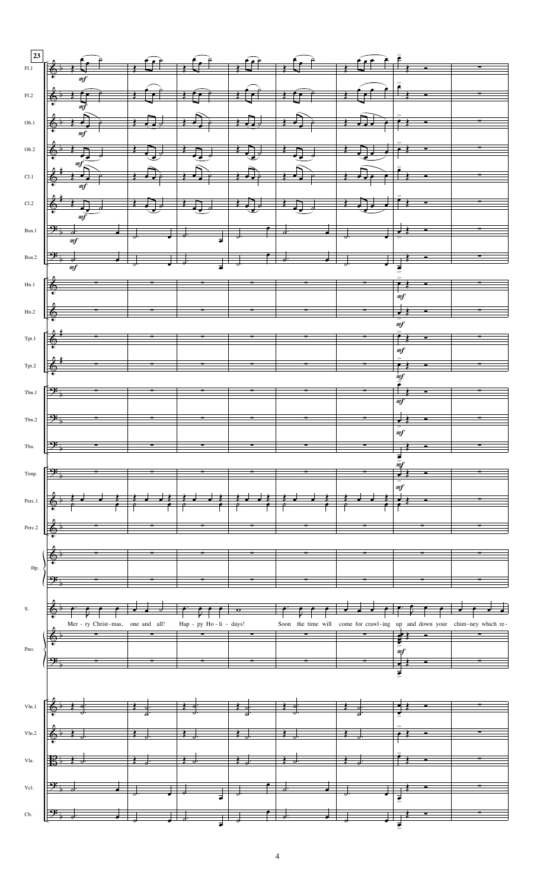| 23                     |                                                                                                            |                                   |                                                                               |                                                                           |                |                                                                                                                                                                                                                                                                                                                     |    |
|------------------------|------------------------------------------------------------------------------------------------------------|-----------------------------------|-------------------------------------------------------------------------------|---------------------------------------------------------------------------|----------------|---------------------------------------------------------------------------------------------------------------------------------------------------------------------------------------------------------------------------------------------------------------------------------------------------------------------|----|
| F1.1                   | $\left[\begin{array}{ccc} & & & & \\ \leftarrow & & & \\ \circ & & & \\ \circ & & & \\ \end{array}\right]$ |                                   |                                                                               |                                                                           |                | $\frac{1}{2}$ $\frac{1}{2}$ $\frac{1}{2}$ $\frac{1}{2}$ $\frac{1}{2}$ $\frac{1}{2}$ $\frac{1}{2}$ $\frac{1}{2}$ $\frac{1}{2}$ $\frac{1}{2}$ $\frac{1}{2}$ $\frac{1}{2}$ $\frac{1}{2}$ $\frac{1}{2}$ $\frac{1}{2}$ $\frac{1}{2}$ $\frac{1}{2}$ $\frac{1}{2}$ $\frac{1}{2}$ $\frac{1}{2}$ $\frac{1}{2}$ $\frac{1}{2}$ |    |
|                        |                                                                                                            |                                   |                                                                               |                                                                           |                |                                                                                                                                                                                                                                                                                                                     |    |
| $\rm{Fl.2}$            | $6.107$ , $107$ , $107$ , $107$                                                                            |                                   |                                                                               | $\left  \frac{1}{2} \right $                                              |                |                                                                                                                                                                                                                                                                                                                     |    |
| $_{\rm Ob.1}$          |                                                                                                            |                                   |                                                                               |                                                                           |                | $\bullet$ $\bullet$ $\bullet$ $\bullet$                                                                                                                                                                                                                                                                             |    |
|                        |                                                                                                            |                                   |                                                                               |                                                                           |                |                                                                                                                                                                                                                                                                                                                     |    |
| Ob.2                   | $\overline{J}$                                                                                             |                                   |                                                                               | $\overline{\mathbb{L}}$                                                   | $\frac{1}{2}$  |                                                                                                                                                                                                                                                                                                                     |    |
|                        |                                                                                                            |                                   |                                                                               |                                                                           |                |                                                                                                                                                                                                                                                                                                                     |    |
| Cl.1                   |                                                                                                            |                                   |                                                                               |                                                                           |                |                                                                                                                                                                                                                                                                                                                     | ×, |
|                        |                                                                                                            |                                   |                                                                               |                                                                           |                | $\equiv$                                                                                                                                                                                                                                                                                                            |    |
| Cl.2                   |                                                                                                            |                                   |                                                                               | <del>ने के</del>                                                          |                |                                                                                                                                                                                                                                                                                                                     |    |
| Bsn.1                  |                                                                                                            |                                   |                                                                               |                                                                           |                | ÷                                                                                                                                                                                                                                                                                                                   |    |
|                        |                                                                                                            |                                   |                                                                               |                                                                           |                |                                                                                                                                                                                                                                                                                                                     |    |
|                        | Bsn.2 $\frac{3\frac{1}{2}}{m f}$                                                                           |                                   | $\frac{1}{2}$ , $\frac{1}{2}$ , $\frac{1}{2}$ , $\frac{1}{2}$ , $\frac{1}{2}$ |                                                                           |                | $\frac{1}{\sqrt{1-\frac{1}{2}}}$                                                                                                                                                                                                                                                                                    |    |
|                        |                                                                                                            |                                   |                                                                               |                                                                           |                |                                                                                                                                                                                                                                                                                                                     |    |
| Hn.1                   | $\frac{1}{2}$                                                                                              |                                   |                                                                               |                                                                           |                | $\left  \cdot \right $                                                                                                                                                                                                                                                                                              |    |
| Hn.2                   |                                                                                                            |                                   |                                                                               |                                                                           |                |                                                                                                                                                                                                                                                                                                                     |    |
|                        |                                                                                                            |                                   |                                                                               |                                                                           |                | mf                                                                                                                                                                                                                                                                                                                  |    |
| $_\mathrm{Tpt.1}$      |                                                                                                            |                                   |                                                                               |                                                                           | $\blacksquare$ |                                                                                                                                                                                                                                                                                                                     |    |
|                        |                                                                                                            |                                   |                                                                               |                                                                           |                | m f                                                                                                                                                                                                                                                                                                                 |    |
| $\operatorname{Tpt.2}$ |                                                                                                            |                                   |                                                                               |                                                                           |                |                                                                                                                                                                                                                                                                                                                     |    |
| $\mathrm{Tbn.1}$       | $\mathbf{P}$                                                                                               |                                   |                                                                               |                                                                           |                |                                                                                                                                                                                                                                                                                                                     |    |
|                        |                                                                                                            |                                   |                                                                               |                                                                           |                |                                                                                                                                                                                                                                                                                                                     |    |
| $_{\rm Tbn.2}$         | $\mathbf{P}$                                                                                               |                                   |                                                                               |                                                                           |                |                                                                                                                                                                                                                                                                                                                     |    |
|                        |                                                                                                            |                                   |                                                                               |                                                                           |                | m f                                                                                                                                                                                                                                                                                                                 |    |
| Tba.                   | $\mapsto$                                                                                                  |                                   |                                                                               |                                                                           |                |                                                                                                                                                                                                                                                                                                                     |    |
|                        | ஒ                                                                                                          |                                   |                                                                               |                                                                           |                |                                                                                                                                                                                                                                                                                                                     |    |
| Timp.                  |                                                                                                            |                                   |                                                                               |                                                                           |                | m f                                                                                                                                                                                                                                                                                                                 |    |
| Perc.1                 |                                                                                                            |                                   |                                                                               |                                                                           |                |                                                                                                                                                                                                                                                                                                                     |    |
|                        |                                                                                                            |                                   |                                                                               |                                                                           |                |                                                                                                                                                                                                                                                                                                                     |    |
| Perc.2                 |                                                                                                            |                                   |                                                                               |                                                                           |                |                                                                                                                                                                                                                                                                                                                     |    |
|                        |                                                                                                            |                                   |                                                                               |                                                                           |                |                                                                                                                                                                                                                                                                                                                     |    |
| Hp.                    |                                                                                                            |                                   |                                                                               |                                                                           |                |                                                                                                                                                                                                                                                                                                                     |    |
|                        |                                                                                                            |                                   |                                                                               |                                                                           |                |                                                                                                                                                                                                                                                                                                                     |    |
|                        |                                                                                                            |                                   |                                                                               |                                                                           |                |                                                                                                                                                                                                                                                                                                                     |    |
| ${\bf S}.$             |                                                                                                            |                                   |                                                                               |                                                                           |                |                                                                                                                                                                                                                                                                                                                     |    |
|                        |                                                                                                            | Mer - ry Christ-mas, one and all! | Hap - py Ho - li - days!                                                      | Soon the time will come for crawl-ing up and down your chim-ney which re- |                |                                                                                                                                                                                                                                                                                                                     |    |
| Pno.                   |                                                                                                            |                                   |                                                                               |                                                                           |                |                                                                                                                                                                                                                                                                                                                     |    |
|                        |                                                                                                            |                                   |                                                                               |                                                                           |                | mf                                                                                                                                                                                                                                                                                                                  |    |
|                        |                                                                                                            |                                   |                                                                               |                                                                           |                |                                                                                                                                                                                                                                                                                                                     |    |
|                        |                                                                                                            |                                   |                                                                               |                                                                           |                |                                                                                                                                                                                                                                                                                                                     |    |
| Vln.1                  |                                                                                                            |                                   |                                                                               |                                                                           |                |                                                                                                                                                                                                                                                                                                                     |    |
|                        |                                                                                                            |                                   |                                                                               |                                                                           |                |                                                                                                                                                                                                                                                                                                                     |    |
| Vln.2                  |                                                                                                            |                                   |                                                                               |                                                                           |                |                                                                                                                                                                                                                                                                                                                     |    |
|                        |                                                                                                            |                                   |                                                                               |                                                                           |                |                                                                                                                                                                                                                                                                                                                     |    |
| Vla.                   |                                                                                                            |                                   |                                                                               |                                                                           |                |                                                                                                                                                                                                                                                                                                                     |    |
| Vcl.                   |                                                                                                            |                                   |                                                                               |                                                                           |                |                                                                                                                                                                                                                                                                                                                     |    |
|                        |                                                                                                            |                                   |                                                                               |                                                                           |                |                                                                                                                                                                                                                                                                                                                     |    |
| Cb.                    |                                                                                                            |                                   |                                                                               |                                                                           |                |                                                                                                                                                                                                                                                                                                                     |    |
|                        |                                                                                                            |                                   |                                                                               |                                                                           |                |                                                                                                                                                                                                                                                                                                                     |    |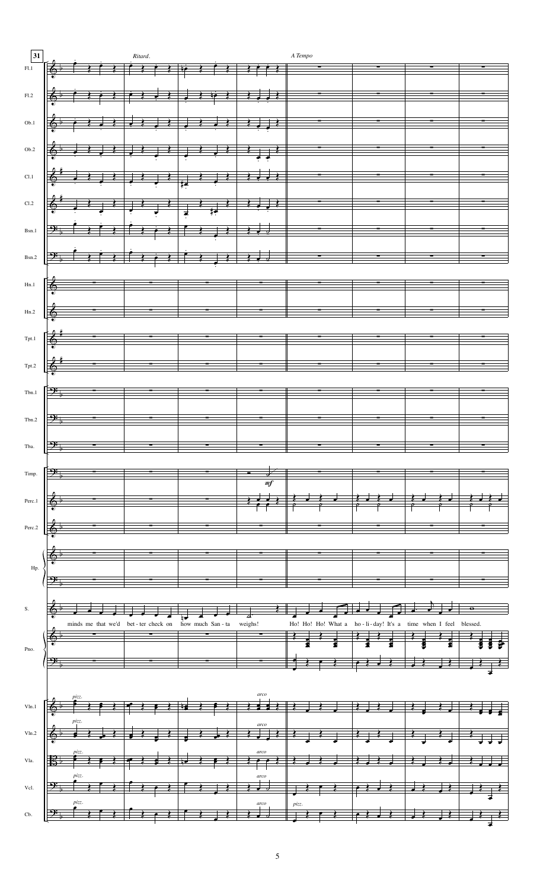| 31             | Ritard.                                                        |                                                                                                                                                                                                                 | $\cal A$ Tempo                                                 |   |  |  |  |  |
|----------------|----------------------------------------------------------------|-----------------------------------------------------------------------------------------------------------------------------------------------------------------------------------------------------------------|----------------------------------------------------------------|---|--|--|--|--|
| $\rm{F}l.1$    | $\rightarrow$ $\rightarrow$ $\rightarrow$                      | $\rightarrow$ $\rightarrow$ $\rightarrow$                                                                                                                                                                       |                                                                |   |  |  |  |  |
|                |                                                                |                                                                                                                                                                                                                 |                                                                |   |  |  |  |  |
| F1.2           | $\overline{\Phi}$                                              |                                                                                                                                                                                                                 | <u>esta</u> rte                                                | Ξ |  |  |  |  |
|                |                                                                |                                                                                                                                                                                                                 |                                                                |   |  |  |  |  |
| Ob.1           |                                                                |                                                                                                                                                                                                                 |                                                                |   |  |  |  |  |
| $_{\rm Ob.2}$  |                                                                |                                                                                                                                                                                                                 |                                                                |   |  |  |  |  |
|                | $\phi$                                                         |                                                                                                                                                                                                                 |                                                                |   |  |  |  |  |
| CL1            |                                                                |                                                                                                                                                                                                                 |                                                                |   |  |  |  |  |
|                |                                                                |                                                                                                                                                                                                                 |                                                                |   |  |  |  |  |
| $\rm Cl.2$     | $\begin{array}{c} \circ\\ \circ\\ \circ\\ \circ\\ \end{array}$ |                                                                                                                                                                                                                 |                                                                |   |  |  |  |  |
|                |                                                                |                                                                                                                                                                                                                 |                                                                |   |  |  |  |  |
| $_{\rm Bsn.1}$ | $\mathbf{P}$<br>$\overline{\cdot}$                             | $\begin{array}{c c c c c c} \hline \rule{0pt}{2ex} & \rule{0pt}{2ex} & \rule{0pt}{2ex} & \rule{0pt}{2ex} & \rule{0pt}{2ex} & \rule{0pt}{2ex} & \rule{0pt}{2ex} & \rule{0pt}{2ex} & \rule{0pt}{2ex} \end{array}$ | Ξ                                                              |   |  |  |  |  |
|                |                                                                |                                                                                                                                                                                                                 |                                                                |   |  |  |  |  |
| Bsn.2          | $\mathbf{P}$                                                   |                                                                                                                                                                                                                 |                                                                |   |  |  |  |  |
|                |                                                                |                                                                                                                                                                                                                 |                                                                |   |  |  |  |  |
| $_{\rm Hn.1}$  |                                                                |                                                                                                                                                                                                                 |                                                                |   |  |  |  |  |
| Hn.2           | Ξ                                                              |                                                                                                                                                                                                                 |                                                                |   |  |  |  |  |
|                |                                                                |                                                                                                                                                                                                                 |                                                                |   |  |  |  |  |
| Tpt.1          | $\overline{\phantom{a}}$                                       |                                                                                                                                                                                                                 |                                                                |   |  |  |  |  |
|                |                                                                |                                                                                                                                                                                                                 |                                                                |   |  |  |  |  |
| Tpt.2          | Ξ<br>$-$                                                       |                                                                                                                                                                                                                 |                                                                |   |  |  |  |  |
|                |                                                                |                                                                                                                                                                                                                 |                                                                |   |  |  |  |  |
| Tbn.1          |                                                                |                                                                                                                                                                                                                 |                                                                |   |  |  |  |  |
|                |                                                                |                                                                                                                                                                                                                 |                                                                |   |  |  |  |  |
| $_{\rm Tbn.2}$ |                                                                |                                                                                                                                                                                                                 |                                                                |   |  |  |  |  |
| Tba.           |                                                                |                                                                                                                                                                                                                 |                                                                |   |  |  |  |  |
|                |                                                                |                                                                                                                                                                                                                 |                                                                |   |  |  |  |  |
| Timp.          |                                                                |                                                                                                                                                                                                                 |                                                                |   |  |  |  |  |
|                |                                                                | m <sub>f</sub>                                                                                                                                                                                                  |                                                                |   |  |  |  |  |
| Perc.1         |                                                                |                                                                                                                                                                                                                 |                                                                |   |  |  |  |  |
|                |                                                                |                                                                                                                                                                                                                 |                                                                |   |  |  |  |  |
| Perc.2         |                                                                |                                                                                                                                                                                                                 |                                                                |   |  |  |  |  |
|                |                                                                |                                                                                                                                                                                                                 |                                                                |   |  |  |  |  |
| Hp.            |                                                                |                                                                                                                                                                                                                 |                                                                |   |  |  |  |  |
|                |                                                                |                                                                                                                                                                                                                 |                                                                |   |  |  |  |  |
|                |                                                                |                                                                                                                                                                                                                 |                                                                |   |  |  |  |  |
| ${\bf S}.$     |                                                                |                                                                                                                                                                                                                 |                                                                |   |  |  |  |  |
|                | minds me that we'd bet-ter check on how much San-ta            | weighs!                                                                                                                                                                                                         | Ho! Ho! Ho! What a ho-li-day! It's a time when I feel blessed. |   |  |  |  |  |
|                |                                                                |                                                                                                                                                                                                                 |                                                                |   |  |  |  |  |
| Pno.           |                                                                |                                                                                                                                                                                                                 |                                                                |   |  |  |  |  |
|                |                                                                |                                                                                                                                                                                                                 |                                                                |   |  |  |  |  |
|                |                                                                |                                                                                                                                                                                                                 |                                                                |   |  |  |  |  |
| Vln.1          |                                                                | arco                                                                                                                                                                                                            |                                                                |   |  |  |  |  |
|                | pizz.                                                          |                                                                                                                                                                                                                 |                                                                |   |  |  |  |  |
| Vln.2          |                                                                | $\frac{arco}{1}$                                                                                                                                                                                                |                                                                |   |  |  |  |  |
|                |                                                                |                                                                                                                                                                                                                 |                                                                |   |  |  |  |  |
| Vla.           |                                                                | arco                                                                                                                                                                                                            |                                                                |   |  |  |  |  |
|                | pizz.                                                          | $\mathit{arco}$                                                                                                                                                                                                 |                                                                |   |  |  |  |  |
| Vcl.           |                                                                |                                                                                                                                                                                                                 |                                                                |   |  |  |  |  |
|                | pizz.                                                          | $\mathit{arco}$                                                                                                                                                                                                 | pizz.                                                          |   |  |  |  |  |
| Cb.            |                                                                |                                                                                                                                                                                                                 |                                                                |   |  |  |  |  |

 $\overline{5}$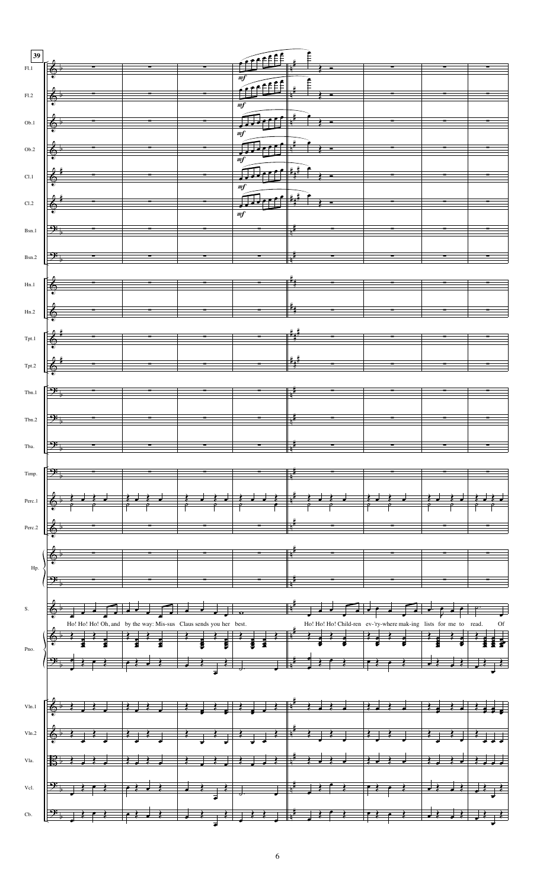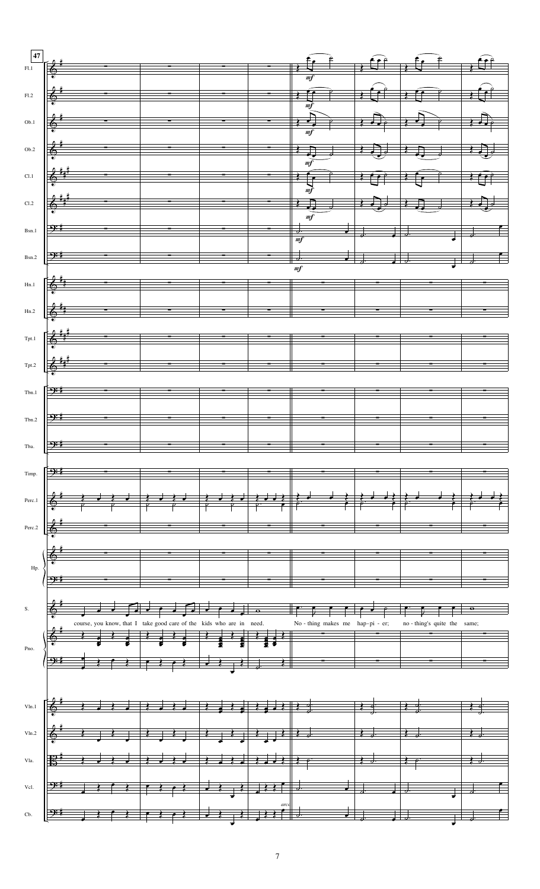| $\bf 47$       |                                                                                                                                                                                                                                                                                                                                                                    |            |                          |                                                                                                             |                                                                                                                                                                                                                                                                                                                                                                                                                                   |                  |                              |                                                                                                                                                               |
|----------------|--------------------------------------------------------------------------------------------------------------------------------------------------------------------------------------------------------------------------------------------------------------------------------------------------------------------------------------------------------------------|------------|--------------------------|-------------------------------------------------------------------------------------------------------------|-----------------------------------------------------------------------------------------------------------------------------------------------------------------------------------------------------------------------------------------------------------------------------------------------------------------------------------------------------------------------------------------------------------------------------------|------------------|------------------------------|---------------------------------------------------------------------------------------------------------------------------------------------------------------|
| F1.1           |                                                                                                                                                                                                                                                                                                                                                                    |            |                          |                                                                                                             |                                                                                                                                                                                                                                                                                                                                                                                                                                   |                  |                              |                                                                                                                                                               |
|                |                                                                                                                                                                                                                                                                                                                                                                    |            |                          |                                                                                                             |                                                                                                                                                                                                                                                                                                                                                                                                                                   |                  |                              |                                                                                                                                                               |
| F1.2           |                                                                                                                                                                                                                                                                                                                                                                    |            |                          |                                                                                                             |                                                                                                                                                                                                                                                                                                                                                                                                                                   |                  |                              |                                                                                                                                                               |
|                |                                                                                                                                                                                                                                                                                                                                                                    |            |                          |                                                                                                             |                                                                                                                                                                                                                                                                                                                                                                                                                                   |                  |                              |                                                                                                                                                               |
| Ob.1           | $\&$ $\qquad$                                                                                                                                                                                                                                                                                                                                                      |            | $\overline{\phantom{a}}$ |                                                                                                             |                                                                                                                                                                                                                                                                                                                                                                                                                                   |                  |                              |                                                                                                                                                               |
|                |                                                                                                                                                                                                                                                                                                                                                                    |            |                          |                                                                                                             |                                                                                                                                                                                                                                                                                                                                                                                                                                   |                  |                              |                                                                                                                                                               |
| Ob.2           |                                                                                                                                                                                                                                                                                                                                                                    |            |                          |                                                                                                             | $\Box$                                                                                                                                                                                                                                                                                                                                                                                                                            | $\prod_{\sigma}$ | $\Box$                       | $\left  \left  \left  \left  \left  \left  \left  \left  \left  \left  \left  \left  \right  \right  \right  \right  \right  \right  \right  \right  \right $ |
|                |                                                                                                                                                                                                                                                                                                                                                                    |            |                          |                                                                                                             |                                                                                                                                                                                                                                                                                                                                                                                                                                   |                  |                              |                                                                                                                                                               |
| Cl.1           | $\left\langle \begin{array}{c} \frac{4}{3} \end{array} \right\rangle$                                                                                                                                                                                                                                                                                              |            |                          |                                                                                                             | $\overline{\mathcal{L}}$                                                                                                                                                                                                                                                                                                                                                                                                          |                  |                              |                                                                                                                                                               |
|                |                                                                                                                                                                                                                                                                                                                                                                    |            |                          |                                                                                                             |                                                                                                                                                                                                                                                                                                                                                                                                                                   |                  |                              |                                                                                                                                                               |
| Cl.2           | $\&$ <sup>*</sup> * <sup>*</sup>                                                                                                                                                                                                                                                                                                                                   |            |                          |                                                                                                             |                                                                                                                                                                                                                                                                                                                                                                                                                                   |                  |                              |                                                                                                                                                               |
|                |                                                                                                                                                                                                                                                                                                                                                                    |            |                          |                                                                                                             | m f                                                                                                                                                                                                                                                                                                                                                                                                                               |                  |                              |                                                                                                                                                               |
| $_{\rm Bsn.1}$ | $\frac{1}{2}$                                                                                                                                                                                                                                                                                                                                                      |            | $\equiv$ :               |                                                                                                             | $\overline{d}$ .                                                                                                                                                                                                                                                                                                                                                                                                                  |                  |                              |                                                                                                                                                               |
|                |                                                                                                                                                                                                                                                                                                                                                                    |            |                          |                                                                                                             |                                                                                                                                                                                                                                                                                                                                                                                                                                   |                  |                              |                                                                                                                                                               |
|                | $B_{\rm Sn.2}$ $\left  \frac{O_{\rm F}^2}{2} \right $ $-$                                                                                                                                                                                                                                                                                                          |            |                          |                                                                                                             |                                                                                                                                                                                                                                                                                                                                                                                                                                   |                  |                              | $\overline{\phantom{a}}$                                                                                                                                      |
|                |                                                                                                                                                                                                                                                                                                                                                                    |            |                          |                                                                                                             | $\overline{mf}$                                                                                                                                                                                                                                                                                                                                                                                                                   |                  |                              |                                                                                                                                                               |
| Hn.1           | $8^{\frac{1}{3}}$                                                                                                                                                                                                                                                                                                                                                  |            |                          |                                                                                                             |                                                                                                                                                                                                                                                                                                                                                                                                                                   |                  |                              |                                                                                                                                                               |
|                |                                                                                                                                                                                                                                                                                                                                                                    |            |                          |                                                                                                             |                                                                                                                                                                                                                                                                                                                                                                                                                                   |                  |                              |                                                                                                                                                               |
| Hn.2           |                                                                                                                                                                                                                                                                                                                                                                    |            |                          |                                                                                                             |                                                                                                                                                                                                                                                                                                                                                                                                                                   |                  |                              |                                                                                                                                                               |
|                |                                                                                                                                                                                                                                                                                                                                                                    |            |                          |                                                                                                             |                                                                                                                                                                                                                                                                                                                                                                                                                                   |                  |                              |                                                                                                                                                               |
|                | $T_{\text{pt.}1}$ $\left[\begin{array}{ccc} 0 & \frac{\mu}{\mu} & \frac{\mu}{\mu} & \frac{\mu}{\mu} \\ 0 & \frac{\mu}{\mu} & \frac{\mu}{\mu} \\ 0 & 0 & \frac{\mu}{\mu} \end{array}\right]$                                                                                                                                                                        |            |                          |                                                                                                             |                                                                                                                                                                                                                                                                                                                                                                                                                                   |                  |                              |                                                                                                                                                               |
|                |                                                                                                                                                                                                                                                                                                                                                                    |            |                          |                                                                                                             |                                                                                                                                                                                                                                                                                                                                                                                                                                   |                  |                              |                                                                                                                                                               |
| Tpt.2          | $\begin{picture}(180,10) \put(0,0){\vector(1,0){100}} \put(10,0){\vector(1,0){100}} \put(10,0){\vector(1,0){100}} \put(10,0){\vector(1,0){100}} \put(10,0){\vector(1,0){100}} \put(10,0){\vector(1,0){100}} \put(10,0){\vector(1,0){100}} \put(10,0){\vector(1,0){100}} \put(10,0){\vector(1,0){100}} \put(10,0){\vector(1,0){100}} \put(10,0){\vector(1,0){100}}$ |            |                          |                                                                                                             |                                                                                                                                                                                                                                                                                                                                                                                                                                   |                  |                              |                                                                                                                                                               |
|                |                                                                                                                                                                                                                                                                                                                                                                    |            |                          |                                                                                                             |                                                                                                                                                                                                                                                                                                                                                                                                                                   |                  |                              |                                                                                                                                                               |
| ${\rm Tbn.1}$  |                                                                                                                                                                                                                                                                                                                                                                    |            |                          |                                                                                                             |                                                                                                                                                                                                                                                                                                                                                                                                                                   |                  |                              |                                                                                                                                                               |
|                |                                                                                                                                                                                                                                                                                                                                                                    |            |                          |                                                                                                             |                                                                                                                                                                                                                                                                                                                                                                                                                                   |                  |                              |                                                                                                                                                               |
| Tbn.2          |                                                                                                                                                                                                                                                                                                                                                                    |            |                          |                                                                                                             |                                                                                                                                                                                                                                                                                                                                                                                                                                   |                  |                              |                                                                                                                                                               |
|                |                                                                                                                                                                                                                                                                                                                                                                    |            |                          |                                                                                                             |                                                                                                                                                                                                                                                                                                                                                                                                                                   |                  |                              |                                                                                                                                                               |
| Tba.           |                                                                                                                                                                                                                                                                                                                                                                    |            |                          |                                                                                                             |                                                                                                                                                                                                                                                                                                                                                                                                                                   |                  |                              |                                                                                                                                                               |
|                |                                                                                                                                                                                                                                                                                                                                                                    |            |                          |                                                                                                             |                                                                                                                                                                                                                                                                                                                                                                                                                                   |                  |                              |                                                                                                                                                               |
| Timp.          |                                                                                                                                                                                                                                                                                                                                                                    |            |                          |                                                                                                             |                                                                                                                                                                                                                                                                                                                                                                                                                                   |                  |                              |                                                                                                                                                               |
|                |                                                                                                                                                                                                                                                                                                                                                                    |            |                          |                                                                                                             |                                                                                                                                                                                                                                                                                                                                                                                                                                   |                  |                              |                                                                                                                                                               |
| Perc.1         |                                                                                                                                                                                                                                                                                                                                                                    |            |                          |                                                                                                             |                                                                                                                                                                                                                                                                                                                                                                                                                                   |                  |                              |                                                                                                                                                               |
|                |                                                                                                                                                                                                                                                                                                                                                                    |            |                          |                                                                                                             |                                                                                                                                                                                                                                                                                                                                                                                                                                   |                  |                              |                                                                                                                                                               |
| Perc.2         |                                                                                                                                                                                                                                                                                                                                                                    |            |                          |                                                                                                             |                                                                                                                                                                                                                                                                                                                                                                                                                                   |                  |                              |                                                                                                                                                               |
|                |                                                                                                                                                                                                                                                                                                                                                                    |            |                          |                                                                                                             |                                                                                                                                                                                                                                                                                                                                                                                                                                   |                  |                              |                                                                                                                                                               |
|                |                                                                                                                                                                                                                                                                                                                                                                    |            |                          |                                                                                                             |                                                                                                                                                                                                                                                                                                                                                                                                                                   |                  |                              |                                                                                                                                                               |
| Hp.            |                                                                                                                                                                                                                                                                                                                                                                    |            |                          |                                                                                                             |                                                                                                                                                                                                                                                                                                                                                                                                                                   |                  |                              |                                                                                                                                                               |
|                |                                                                                                                                                                                                                                                                                                                                                                    |            |                          |                                                                                                             |                                                                                                                                                                                                                                                                                                                                                                                                                                   |                  |                              |                                                                                                                                                               |
|                |                                                                                                                                                                                                                                                                                                                                                                    |            |                          |                                                                                                             |                                                                                                                                                                                                                                                                                                                                                                                                                                   |                  |                              |                                                                                                                                                               |
| $\mathbf S.$   |                                                                                                                                                                                                                                                                                                                                                                    | $\sqrt{2}$ |                          |                                                                                                             |                                                                                                                                                                                                                                                                                                                                                                                                                                   |                  |                              |                                                                                                                                                               |
|                | course, you know, that I take good care of the kids who are in need.                                                                                                                                                                                                                                                                                               |            |                          |                                                                                                             | No - thing makes me hap-pi - er;                                                                                                                                                                                                                                                                                                                                                                                                  |                  | no - thing's quite the same; |                                                                                                                                                               |
|                |                                                                                                                                                                                                                                                                                                                                                                    |            |                          |                                                                                                             |                                                                                                                                                                                                                                                                                                                                                                                                                                   |                  |                              |                                                                                                                                                               |
| Pno.           |                                                                                                                                                                                                                                                                                                                                                                    |            |                          |                                                                                                             |                                                                                                                                                                                                                                                                                                                                                                                                                                   |                  |                              |                                                                                                                                                               |
|                |                                                                                                                                                                                                                                                                                                                                                                    |            |                          |                                                                                                             |                                                                                                                                                                                                                                                                                                                                                                                                                                   |                  |                              |                                                                                                                                                               |
|                |                                                                                                                                                                                                                                                                                                                                                                    |            |                          |                                                                                                             |                                                                                                                                                                                                                                                                                                                                                                                                                                   |                  |                              |                                                                                                                                                               |
|                |                                                                                                                                                                                                                                                                                                                                                                    |            |                          |                                                                                                             |                                                                                                                                                                                                                                                                                                                                                                                                                                   |                  |                              |                                                                                                                                                               |
| Vln.1          |                                                                                                                                                                                                                                                                                                                                                                    |            |                          |                                                                                                             |                                                                                                                                                                                                                                                                                                                                                                                                                                   |                  |                              |                                                                                                                                                               |
|                |                                                                                                                                                                                                                                                                                                                                                                    |            |                          |                                                                                                             |                                                                                                                                                                                                                                                                                                                                                                                                                                   |                  |                              |                                                                                                                                                               |
| Vln.2          |                                                                                                                                                                                                                                                                                                                                                                    |            |                          |                                                                                                             |                                                                                                                                                                                                                                                                                                                                                                                                                                   |                  |                              |                                                                                                                                                               |
|                |                                                                                                                                                                                                                                                                                                                                                                    |            |                          |                                                                                                             |                                                                                                                                                                                                                                                                                                                                                                                                                                   |                  |                              |                                                                                                                                                               |
| Vla.           |                                                                                                                                                                                                                                                                                                                                                                    |            |                          |                                                                                                             |                                                                                                                                                                                                                                                                                                                                                                                                                                   |                  |                              |                                                                                                                                                               |
|                |                                                                                                                                                                                                                                                                                                                                                                    |            |                          |                                                                                                             |                                                                                                                                                                                                                                                                                                                                                                                                                                   |                  |                              |                                                                                                                                                               |
| $\mbox{Vcl.}$  |                                                                                                                                                                                                                                                                                                                                                                    |            | $\overline{\phantom{a}}$ | $\begin{array}{c c c c c c} \hline & & & & & \\ \hline & & & & & \\ \hline & & & & & \\ \hline \end{array}$ | $\frac{1}{\sqrt{1-\frac{1}{\sqrt{1-\frac{1}{\sqrt{1-\frac{1}{\sqrt{1-\frac{1}{\sqrt{1-\frac{1}{\sqrt{1-\frac{1}{\sqrt{1-\frac{1}{\sqrt{1-\frac{1}{\sqrt{1-\frac{1}{\sqrt{1-\frac{1}{\sqrt{1-\frac{1}{\sqrt{1-\frac{1}{\sqrt{1-\frac{1}{\sqrt{1-\frac{1}{\sqrt{1-\frac{1}{\sqrt{1-\frac{1}{\sqrt{1-\frac{1}{\sqrt{1-\frac{1}{\sqrt{1-\frac{1}{\sqrt{1-\frac{1}{\sqrt{1-\frac{1}{\sqrt{1-\frac{1}{\sqrt{1-\frac{1}{\sqrt{1-\frac{1$ |                  |                              |                                                                                                                                                               |
|                |                                                                                                                                                                                                                                                                                                                                                                    |            |                          |                                                                                                             |                                                                                                                                                                                                                                                                                                                                                                                                                                   |                  |                              |                                                                                                                                                               |
| Cb.            |                                                                                                                                                                                                                                                                                                                                                                    |            |                          | arco                                                                                                        | $\overline{\phantom{a}}$                                                                                                                                                                                                                                                                                                                                                                                                          |                  |                              |                                                                                                                                                               |
|                |                                                                                                                                                                                                                                                                                                                                                                    |            |                          |                                                                                                             |                                                                                                                                                                                                                                                                                                                                                                                                                                   |                  |                              |                                                                                                                                                               |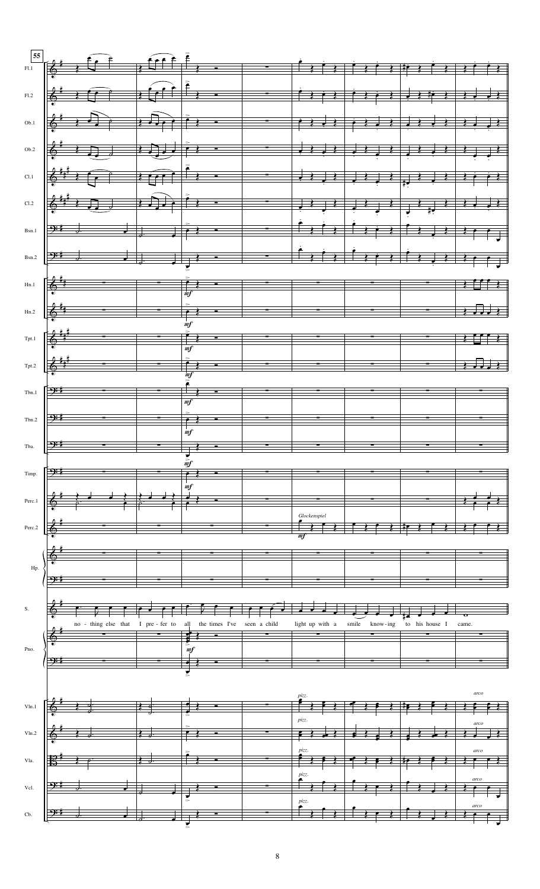| F1.2  |                                                                                                                                                                                                                                                                                                                                                                                                         |                      |                                                   |              |                          |                   |                 |       |
|-------|---------------------------------------------------------------------------------------------------------------------------------------------------------------------------------------------------------------------------------------------------------------------------------------------------------------------------------------------------------------------------------------------------------|----------------------|---------------------------------------------------|--------------|--------------------------|-------------------|-----------------|-------|
|       |                                                                                                                                                                                                                                                                                                                                                                                                         |                      |                                                   |              |                          |                   |                 |       |
|       |                                                                                                                                                                                                                                                                                                                                                                                                         |                      |                                                   |              |                          |                   |                 |       |
|       | $00.1$ $\frac{1}{2}$ $\frac{1}{2}$ $\frac{1}{2}$ $\frac{1}{2}$ $\frac{1}{2}$ $\frac{1}{2}$ $\frac{1}{2}$ $\frac{1}{2}$ $\frac{1}{2}$ $\frac{1}{2}$ $\frac{1}{2}$ $\frac{1}{2}$ $\frac{1}{2}$ $\frac{1}{2}$ $\frac{1}{2}$ $\frac{1}{2}$ $\frac{1}{2}$ $\frac{1}{2}$                                                                                                                                      |                      |                                                   |              |                          |                   |                 |       |
|       |                                                                                                                                                                                                                                                                                                                                                                                                         |                      |                                                   |              |                          |                   |                 |       |
| Ob.2  | $\left  \frac{2}{9} + 2$ , $\frac{1}{9} + 2$ , $\left  \frac{1}{10} + 2 \right $ , $\left  \frac{1}{10} + 2 \right $ , $\left  \frac{1}{10} + 2 \right $ , $\left  \frac{1}{10} + 2 \right $                                                                                                                                                                                                            |                      |                                                   |              |                          |                   |                 |       |
|       |                                                                                                                                                                                                                                                                                                                                                                                                         |                      |                                                   |              |                          |                   |                 |       |
| Cl.1  |                                                                                                                                                                                                                                                                                                                                                                                                         |                      |                                                   |              |                          |                   |                 |       |
|       |                                                                                                                                                                                                                                                                                                                                                                                                         |                      |                                                   |              |                          |                   |                 |       |
| C1.2  |                                                                                                                                                                                                                                                                                                                                                                                                         |                      |                                                   |              |                          |                   |                 |       |
|       |                                                                                                                                                                                                                                                                                                                                                                                                         |                      |                                                   |              |                          |                   |                 |       |
|       |                                                                                                                                                                                                                                                                                                                                                                                                         |                      |                                                   |              |                          |                   |                 |       |
|       | $Bsn.1$ $Brs.1$ $Crs.1$ $Drs.2$ $Drs.3$ $Drs.3$ $Drs.4$ $Drs.4$ $Drs.4$ $Drs.4$ $Drs.4$ $Drs.4$ $Drs.4$ $Drs.4$ $Drs.4$ $Drs.4$ $Drs.4$ $Drs.4$ $Drs.4$ $Drs.4$ $Drs.4$ $Drs.4$ $Drs.4$ $Drs.4$ $Drs.4$ $Drs.4$ $Drs.4$ $Drs.4$ $Drs.4$ $Drs.4$ $Drs.4$ $Drs.$                                                                                                                                          |                      |                                                   |              |                          |                   |                 |       |
|       |                                                                                                                                                                                                                                                                                                                                                                                                         |                      |                                                   |              |                          |                   |                 |       |
|       | $Bsn2$ $\frac{1}{2}$ $\frac{1}{2}$ $\frac{1}{2}$ $\frac{1}{2}$ $\frac{1}{2}$ $\frac{1}{2}$ $\frac{1}{2}$ $\frac{1}{2}$ $\frac{1}{2}$ $\frac{1}{2}$ $\frac{1}{2}$ $\frac{1}{2}$ $\frac{1}{2}$ $\frac{1}{2}$ $\frac{1}{2}$ $\frac{1}{2}$ $\frac{1}{2}$ $\frac{1}{2}$ $\frac{1}{2}$ $\frac{1}{2}$ $\frac{1}{2}$ $\frac{1$                                                                                  |                      |                                                   |              |                          |                   |                 |       |
|       |                                                                                                                                                                                                                                                                                                                                                                                                         |                      |                                                   |              |                          |                   |                 |       |
| Hn.1  |                                                                                                                                                                                                                                                                                                                                                                                                         |                      |                                                   |              |                          |                   |                 |       |
|       |                                                                                                                                                                                                                                                                                                                                                                                                         |                      |                                                   |              |                          |                   |                 |       |
|       | $Hn.2$ $\left[\begin{array}{ccc} \frac{1}{2} & \frac{1}{2} & \frac{1}{2} & \frac{1}{2} & \frac{1}{2} & \frac{1}{2} & \frac{1}{2} & \frac{1}{2} & \frac{1}{2} & \frac{1}{2} & \frac{1}{2} & \frac{1}{2} & \frac{1}{2} & \frac{1}{2} & \frac{1}{2} & \frac{1}{2} & \frac{1}{2} & \frac{1}{2} & \frac{1}{2} & \frac{1}{2} & \frac{1}{2} & \frac{1}{2} & \frac{1}{2} & \frac{1}{2} & \frac{1}{2} & \frac{1$ |                      |                                                   |              |                          |                   |                 |       |
|       |                                                                                                                                                                                                                                                                                                                                                                                                         |                      |                                                   |              |                          |                   |                 |       |
|       |                                                                                                                                                                                                                                                                                                                                                                                                         |                      |                                                   |              |                          |                   |                 |       |
|       |                                                                                                                                                                                                                                                                                                                                                                                                         |                      |                                                   |              | $\overline{\phantom{a}}$ |                   |                 |       |
|       |                                                                                                                                                                                                                                                                                                                                                                                                         |                      |                                                   |              |                          |                   |                 |       |
|       | Tpt.2 $\frac{2 \frac{4 \pi i}{3}}{2}$ and $\frac{2}{2}$ and $\frac{2}{2}$ and $\frac{2}{2}$ and $\frac{2}{2}$ and $\frac{2}{2}$ and $\frac{2}{2}$ and $\frac{2}{2}$ and $\frac{2}{2}$ and $\frac{2}{2}$ and $\frac{2}{2}$ and $\frac{2}{2}$ and $\frac{2}{2}$ and $\frac{2}{2}$ and $\frac{2}{2}$                                                                                                       |                      |                                                   |              |                          |                   |                 |       |
|       |                                                                                                                                                                                                                                                                                                                                                                                                         |                      |                                                   |              |                          |                   |                 |       |
| Tbn.1 |                                                                                                                                                                                                                                                                                                                                                                                                         | $\frac{1}{\sqrt{2}}$ | $\frac{1}{\sqrt{m}f}$<br>$\overline{\phantom{a}}$ |              |                          |                   |                 |       |
|       |                                                                                                                                                                                                                                                                                                                                                                                                         |                      |                                                   |              |                          |                   |                 |       |
| Tbn.2 |                                                                                                                                                                                                                                                                                                                                                                                                         |                      | ╤₹                                                |              |                          |                   |                 |       |
|       |                                                                                                                                                                                                                                                                                                                                                                                                         |                      |                                                   |              |                          |                   |                 |       |
| Tba.  | ⊢ <del>∩∷</del> ‼                                                                                                                                                                                                                                                                                                                                                                                       |                      |                                                   |              |                          |                   |                 |       |
|       |                                                                                                                                                                                                                                                                                                                                                                                                         |                      |                                                   |              |                          |                   |                 |       |
|       |                                                                                                                                                                                                                                                                                                                                                                                                         |                      |                                                   |              |                          |                   |                 |       |
| Timp. |                                                                                                                                                                                                                                                                                                                                                                                                         |                      |                                                   |              |                          |                   |                 |       |
|       |                                                                                                                                                                                                                                                                                                                                                                                                         |                      | m f                                               |              |                          |                   |                 |       |
|       |                                                                                                                                                                                                                                                                                                                                                                                                         |                      |                                                   |              |                          |                   |                 |       |
|       |                                                                                                                                                                                                                                                                                                                                                                                                         |                      |                                                   |              |                          |                   |                 |       |
|       |                                                                                                                                                                                                                                                                                                                                                                                                         |                      |                                                   |              | Glockenspiel             |                   |                 |       |
|       |                                                                                                                                                                                                                                                                                                                                                                                                         |                      |                                                   |              |                          |                   |                 |       |
|       |                                                                                                                                                                                                                                                                                                                                                                                                         |                      |                                                   |              |                          |                   |                 |       |
|       |                                                                                                                                                                                                                                                                                                                                                                                                         |                      |                                                   |              |                          |                   |                 |       |
| Hp.   |                                                                                                                                                                                                                                                                                                                                                                                                         |                      |                                                   |              |                          |                   |                 |       |
|       |                                                                                                                                                                                                                                                                                                                                                                                                         |                      |                                                   |              |                          |                   |                 |       |
|       |                                                                                                                                                                                                                                                                                                                                                                                                         |                      |                                                   |              |                          |                   |                 |       |
|       |                                                                                                                                                                                                                                                                                                                                                                                                         |                      |                                                   |              |                          |                   |                 |       |
| S.    |                                                                                                                                                                                                                                                                                                                                                                                                         |                      |                                                   |              |                          |                   |                 |       |
|       | no - thing else that                                                                                                                                                                                                                                                                                                                                                                                    | I pre - fer to       | all<br>the times I've                             | seen a child | light up with a          | smile<br>know-ing | to<br>his house | came. |
|       |                                                                                                                                                                                                                                                                                                                                                                                                         |                      |                                                   |              |                          |                   |                 |       |
| Pno.  |                                                                                                                                                                                                                                                                                                                                                                                                         |                      | mf                                                |              |                          |                   |                 |       |
|       |                                                                                                                                                                                                                                                                                                                                                                                                         |                      |                                                   |              |                          |                   |                 |       |
|       |                                                                                                                                                                                                                                                                                                                                                                                                         |                      |                                                   |              |                          |                   |                 |       |
|       |                                                                                                                                                                                                                                                                                                                                                                                                         |                      |                                                   |              |                          |                   |                 | arco  |
|       |                                                                                                                                                                                                                                                                                                                                                                                                         |                      |                                                   |              |                          |                   |                 |       |
|       |                                                                                                                                                                                                                                                                                                                                                                                                         |                      |                                                   |              |                          |                   |                 |       |
|       |                                                                                                                                                                                                                                                                                                                                                                                                         |                      |                                                   |              | pizz.                    |                   |                 |       |
|       |                                                                                                                                                                                                                                                                                                                                                                                                         |                      |                                                   |              |                          |                   |                 |       |
|       |                                                                                                                                                                                                                                                                                                                                                                                                         |                      |                                                   |              |                          |                   |                 |       |
|       |                                                                                                                                                                                                                                                                                                                                                                                                         |                      |                                                   |              |                          |                   |                 |       |
|       |                                                                                                                                                                                                                                                                                                                                                                                                         |                      |                                                   |              | pizz.                    |                   |                 |       |
| Vcl.  |                                                                                                                                                                                                                                                                                                                                                                                                         |                      |                                                   |              |                          |                   |                 |       |
|       |                                                                                                                                                                                                                                                                                                                                                                                                         |                      |                                                   |              | pizz.                    |                   |                 |       |
|       |                                                                                                                                                                                                                                                                                                                                                                                                         |                      |                                                   |              |                          |                   |                 |       |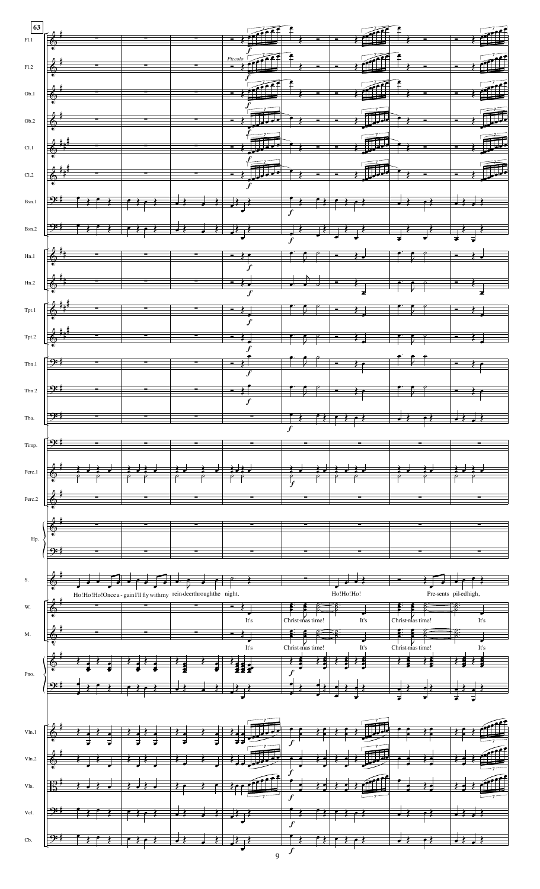|        | $F_{1,1}$ , $F_{2,2}$ , $F_{3,3}$ , $F_{4,4}$ , $F_{5,4}$ , $F_{6,4}$ , $F_{7,4}$ , $F_{8,4}$ , $F_{9,4}$ , $F_{1,4}$ , $F_{1,4}$ , $F_{1,4}$ , $F_{1,4}$ , $F_{1,4}$ , $F_{1,4}$ , $F_{1,4}$ , $F_{1,4}$ , $F_{1,4}$ , $F_{1,4}$ , $F_{1,4}$ ,                                                                                                                                                                                                                                                                                                                                                                                                                      |                                                                     |      |                  |                                                                               |                  |                       |
|--------|----------------------------------------------------------------------------------------------------------------------------------------------------------------------------------------------------------------------------------------------------------------------------------------------------------------------------------------------------------------------------------------------------------------------------------------------------------------------------------------------------------------------------------------------------------------------------------------------------------------------------------------------------------------------|---------------------------------------------------------------------|------|------------------|-------------------------------------------------------------------------------|------------------|-----------------------|
|        |                                                                                                                                                                                                                                                                                                                                                                                                                                                                                                                                                                                                                                                                      |                                                                     |      |                  |                                                                               |                  |                       |
|        |                                                                                                                                                                                                                                                                                                                                                                                                                                                                                                                                                                                                                                                                      |                                                                     |      |                  |                                                                               |                  |                       |
| F1.2   |                                                                                                                                                                                                                                                                                                                                                                                                                                                                                                                                                                                                                                                                      |                                                                     |      |                  | $\frac{1}{2}$ . $\frac{1}{2}$ . $\frac{1}{2}$ . $\frac{1}{2}$ . $\frac{1}{2}$ |                  |                       |
|        |                                                                                                                                                                                                                                                                                                                                                                                                                                                                                                                                                                                                                                                                      |                                                                     |      |                  |                                                                               |                  |                       |
|        |                                                                                                                                                                                                                                                                                                                                                                                                                                                                                                                                                                                                                                                                      |                                                                     |      |                  |                                                                               |                  |                       |
| Ob.1   |                                                                                                                                                                                                                                                                                                                                                                                                                                                                                                                                                                                                                                                                      |                                                                     |      |                  |                                                                               |                  |                       |
|        |                                                                                                                                                                                                                                                                                                                                                                                                                                                                                                                                                                                                                                                                      |                                                                     |      |                  |                                                                               |                  |                       |
|        | $\frac{1}{2}$ , $\frac{1}{2}$ , $\frac{1}{2}$ , $\frac{1}{2}$ , $\frac{1}{2}$ , $\frac{1}{2}$ , $\frac{1}{2}$ , $\frac{1}{2}$ , $\frac{1}{2}$ , $\frac{1}{2}$ , $\frac{1}{2}$ , $\frac{1}{2}$ , $\frac{1}{2}$ , $\frac{1}{2}$ , $\frac{1}{2}$ , $\frac{1}{2}$ , $\frac{1}{2}$ , $\frac{1}{2}$ , $\frac{1$                                                                                                                                                                                                                                                                                                                                                            |                                                                     |      |                  |                                                                               |                  |                       |
| Ob.2   |                                                                                                                                                                                                                                                                                                                                                                                                                                                                                                                                                                                                                                                                      |                                                                     |      |                  |                                                                               |                  |                       |
|        |                                                                                                                                                                                                                                                                                                                                                                                                                                                                                                                                                                                                                                                                      |                                                                     |      |                  |                                                                               |                  |                       |
| CL1    | $\frac{1}{2}$ , $\frac{1}{2}$ , $\frac{1}{2}$ , $\frac{1}{2}$ , $\frac{1}{2}$ , $\frac{1}{2}$ , $\frac{1}{2}$ , $\frac{1}{2}$ , $\frac{1}{2}$ , $\frac{1}{2}$ , $\frac{1}{2}$ , $\frac{1}{2}$ , $\frac{1}{2}$ , $\frac{1}{2}$ , $\frac{1}{2}$ , $\frac{1}{2}$                                                                                                                                                                                                                                                                                                                                                                                                        |                                                                     |      |                  |                                                                               |                  |                       |
|        |                                                                                                                                                                                                                                                                                                                                                                                                                                                                                                                                                                                                                                                                      |                                                                     |      |                  |                                                                               |                  |                       |
|        |                                                                                                                                                                                                                                                                                                                                                                                                                                                                                                                                                                                                                                                                      |                                                                     |      |                  |                                                                               |                  |                       |
| C1.2   | $\frac{1}{2}$ $\frac{1}{2}$ $\frac{1}{2}$ $\frac{1}{2}$ $\frac{1}{2}$ $\frac{1}{2}$ $\frac{1}{2}$ $\frac{1}{2}$ $\frac{1}{2}$ $\frac{1}{2}$ $\frac{1}{2}$ $\frac{1}{2}$ $\frac{1}{2}$ $\frac{1}{2}$ $\frac{1}{2}$ $\frac{1}{2}$ $\frac{1}{2}$ $\frac{1}{2}$ $\frac{1}{2}$ $\frac{1}{2}$ $\frac{1}{2}$ $\frac{1}{2}$                                                                                                                                                                                                                                                                                                                                                  |                                                                     |      |                  |                                                                               |                  |                       |
|        |                                                                                                                                                                                                                                                                                                                                                                                                                                                                                                                                                                                                                                                                      |                                                                     |      |                  |                                                                               |                  |                       |
|        |                                                                                                                                                                                                                                                                                                                                                                                                                                                                                                                                                                                                                                                                      |                                                                     |      |                  |                                                                               |                  |                       |
|        | $Bsn.1$ $\frac{1}{2}$ $\frac{1}{2}$ $\frac{1}{2}$ $\frac{1}{2}$ $\frac{1}{2}$ $\frac{1}{2}$ $\frac{1}{2}$ $\frac{1}{2}$ $\frac{1}{2}$ $\frac{1}{2}$ $\frac{1}{2}$ $\frac{1}{2}$ $\frac{1}{2}$ $\frac{1}{2}$ $\frac{1}{2}$ $\frac{1}{2}$ $\frac{1}{2}$ $\frac{1}{2}$ $\frac{1}{2}$ $\frac{1}{2}$ $\frac{1}{2}$ $\frac{$                                                                                                                                                                                                                                                                                                                                               |                                                                     |      |                  |                                                                               |                  |                       |
|        |                                                                                                                                                                                                                                                                                                                                                                                                                                                                                                                                                                                                                                                                      |                                                                     |      |                  |                                                                               |                  |                       |
|        |                                                                                                                                                                                                                                                                                                                                                                                                                                                                                                                                                                                                                                                                      |                                                                     |      |                  |                                                                               |                  |                       |
|        | $Bsn.2$ $\frac{9n+1}{2}$ $\frac{3}{2}$ $\frac{3}{2}$ $\frac{3}{2}$ $\frac{3}{2}$ $\frac{3}{2}$ $\frac{3}{2}$ $\frac{3}{2}$ $\frac{3}{2}$ $\frac{3}{2}$ $\frac{3}{2}$ $\frac{3}{2}$ $\frac{3}{2}$ $\frac{3}{2}$ $\frac{3}{2}$                                                                                                                                                                                                                                                                                                                                                                                                                                         |                                                                     |      |                  |                                                                               |                  |                       |
|        |                                                                                                                                                                                                                                                                                                                                                                                                                                                                                                                                                                                                                                                                      |                                                                     |      |                  |                                                                               |                  |                       |
|        |                                                                                                                                                                                                                                                                                                                                                                                                                                                                                                                                                                                                                                                                      |                                                                     |      |                  |                                                                               |                  |                       |
|        |                                                                                                                                                                                                                                                                                                                                                                                                                                                                                                                                                                                                                                                                      |                                                                     |      |                  |                                                                               |                  |                       |
|        |                                                                                                                                                                                                                                                                                                                                                                                                                                                                                                                                                                                                                                                                      |                                                                     |      |                  |                                                                               |                  |                       |
|        |                                                                                                                                                                                                                                                                                                                                                                                                                                                                                                                                                                                                                                                                      |                                                                     |      |                  |                                                                               |                  |                       |
|        | $Hn.2$ $\frac{1}{2}$ $\frac{1}{2}$ $\frac{1}{2}$ $\frac{1}{2}$ $\frac{1}{2}$ $\frac{1}{2}$ $\frac{1}{2}$ $\frac{1}{2}$ $\frac{1}{2}$ $\frac{1}{2}$ $\frac{1}{2}$ $\frac{1}{2}$ $\frac{1}{2}$ $\frac{1}{2}$ $\frac{1}{2}$ $\frac{1}{2}$ $\frac{1}{2}$ $\frac{1}{2}$ $\frac{1}{2}$ $\frac{1}{2}$ $\frac{1}{2}$ $\frac{$                                                                                                                                                                                                                                                                                                                                                |                                                                     |      |                  |                                                                               |                  |                       |
|        |                                                                                                                                                                                                                                                                                                                                                                                                                                                                                                                                                                                                                                                                      |                                                                     |      |                  |                                                                               |                  |                       |
|        | $T_{\text{pt},1}$ $\left[\begin{array}{ccc} \frac{\partial}{\partial t} & \frac{\partial}{\partial t} & \frac{\partial}{\partial t} & \frac{\partial}{\partial t} & \frac{\partial}{\partial t} & \frac{\partial}{\partial t} & \frac{\partial}{\partial t} \\ \frac{\partial}{\partial t} & \frac{\partial}{\partial t} & \frac{\partial}{\partial t} & \frac{\partial}{\partial t} & \frac{\partial}{\partial t} & \frac{\partial}{\partial t} \\ \frac{\partial}{\partial t} & \frac{\partial}{\partial t} & \frac{\partial}{\partial t} & \frac{\partial}{\partial t} & \frac{\partial}{\partial t} & \frac{\partial}{\partial t} & \frac{\partial}{\partial t}$ |                                                                     |      |                  |                                                                               |                  |                       |
|        |                                                                                                                                                                                                                                                                                                                                                                                                                                                                                                                                                                                                                                                                      |                                                                     |      |                  |                                                                               |                  |                       |
|        |                                                                                                                                                                                                                                                                                                                                                                                                                                                                                                                                                                                                                                                                      |                                                                     |      |                  |                                                                               |                  |                       |
|        | $T_{\text{pt,2}}$ $\left[\begin{array}{ccc} \frac{1}{2} & \frac{1}{2} & \frac{1}{2} \\ \frac{1}{2} & \frac{1}{2} & \frac{1}{2} \end{array}\right]$ $T_{\text{pt,2}}$ $T_{\text{pt,2}}$ $T_{\text{pt,2}}$ $T_{\text{pt,2}}$                                                                                                                                                                                                                                                                                                                                                                                                                                           |                                                                     |      |                  |                                                                               |                  |                       |
|        |                                                                                                                                                                                                                                                                                                                                                                                                                                                                                                                                                                                                                                                                      |                                                                     |      |                  |                                                                               |                  |                       |
|        |                                                                                                                                                                                                                                                                                                                                                                                                                                                                                                                                                                                                                                                                      |                                                                     |      |                  |                                                                               |                  |                       |
| Tbn.1  |                                                                                                                                                                                                                                                                                                                                                                                                                                                                                                                                                                                                                                                                      |                                                                     |      |                  |                                                                               |                  |                       |
|        |                                                                                                                                                                                                                                                                                                                                                                                                                                                                                                                                                                                                                                                                      |                                                                     |      |                  |                                                                               |                  |                       |
|        | Tbn.2 $\frac{1}{2}$ $\frac{1}{2}$ $\frac{1}{2}$ $\frac{1}{2}$ $\frac{1}{2}$ $\frac{1}{2}$ $\frac{1}{2}$ $\frac{1}{2}$ $\frac{1}{2}$ $\frac{1}{2}$ $\frac{1}{2}$ $\frac{1}{2}$ $\frac{1}{2}$ $\frac{1}{2}$ $\frac{1}{2}$ $\frac{1}{2}$ $\frac{1}{2}$ $\frac{1}{2}$ $\frac{1}{2}$ $\frac{1}{2}$ $\frac{1}{2}$ $\frac{1$                                                                                                                                                                                                                                                                                                                                                |                                                                     |      |                  |                                                                               |                  |                       |
|        |                                                                                                                                                                                                                                                                                                                                                                                                                                                                                                                                                                                                                                                                      |                                                                     |      |                  |                                                                               |                  |                       |
|        |                                                                                                                                                                                                                                                                                                                                                                                                                                                                                                                                                                                                                                                                      |                                                                     |      |                  |                                                                               |                  |                       |
| Tba    | <del>n:1</del>                                                                                                                                                                                                                                                                                                                                                                                                                                                                                                                                                                                                                                                       |                                                                     |      |                  | $\qquad \qquad$                                                               |                  |                       |
|        |                                                                                                                                                                                                                                                                                                                                                                                                                                                                                                                                                                                                                                                                      |                                                                     |      |                  |                                                                               |                  |                       |
|        |                                                                                                                                                                                                                                                                                                                                                                                                                                                                                                                                                                                                                                                                      |                                                                     |      |                  |                                                                               |                  |                       |
| Timp.  |                                                                                                                                                                                                                                                                                                                                                                                                                                                                                                                                                                                                                                                                      |                                                                     |      |                  |                                                                               |                  |                       |
|        |                                                                                                                                                                                                                                                                                                                                                                                                                                                                                                                                                                                                                                                                      |                                                                     |      |                  |                                                                               |                  |                       |
|        |                                                                                                                                                                                                                                                                                                                                                                                                                                                                                                                                                                                                                                                                      |                                                                     |      |                  |                                                                               |                  |                       |
|        |                                                                                                                                                                                                                                                                                                                                                                                                                                                                                                                                                                                                                                                                      |                                                                     |      |                  |                                                                               |                  |                       |
|        |                                                                                                                                                                                                                                                                                                                                                                                                                                                                                                                                                                                                                                                                      |                                                                     |      |                  |                                                                               |                  |                       |
| Perc.2 |                                                                                                                                                                                                                                                                                                                                                                                                                                                                                                                                                                                                                                                                      |                                                                     |      |                  |                                                                               |                  |                       |
|        |                                                                                                                                                                                                                                                                                                                                                                                                                                                                                                                                                                                                                                                                      |                                                                     |      |                  |                                                                               |                  |                       |
|        |                                                                                                                                                                                                                                                                                                                                                                                                                                                                                                                                                                                                                                                                      |                                                                     |      |                  |                                                                               |                  |                       |
|        |                                                                                                                                                                                                                                                                                                                                                                                                                                                                                                                                                                                                                                                                      |                                                                     |      |                  |                                                                               |                  |                       |
|        |                                                                                                                                                                                                                                                                                                                                                                                                                                                                                                                                                                                                                                                                      |                                                                     |      |                  |                                                                               |                  |                       |
| Hp.    |                                                                                                                                                                                                                                                                                                                                                                                                                                                                                                                                                                                                                                                                      |                                                                     |      |                  |                                                                               |                  |                       |
|        |                                                                                                                                                                                                                                                                                                                                                                                                                                                                                                                                                                                                                                                                      |                                                                     |      |                  |                                                                               |                  |                       |
|        |                                                                                                                                                                                                                                                                                                                                                                                                                                                                                                                                                                                                                                                                      |                                                                     |      |                  |                                                                               |                  |                       |
|        |                                                                                                                                                                                                                                                                                                                                                                                                                                                                                                                                                                                                                                                                      |                                                                     |      |                  |                                                                               |                  |                       |
| S.     |                                                                                                                                                                                                                                                                                                                                                                                                                                                                                                                                                                                                                                                                      |                                                                     |      |                  |                                                                               |                  |                       |
|        |                                                                                                                                                                                                                                                                                                                                                                                                                                                                                                                                                                                                                                                                      | Ho!Ho!Ho!Once a - gain I'll fly with my rein-deerthrough the night. |      |                  | Ho!Ho!Ho!                                                                     |                  | Pre-sents pil-edhigh, |
| W.     |                                                                                                                                                                                                                                                                                                                                                                                                                                                                                                                                                                                                                                                                      |                                                                     |      |                  |                                                                               |                  |                       |
|        |                                                                                                                                                                                                                                                                                                                                                                                                                                                                                                                                                                                                                                                                      |                                                                     |      |                  |                                                                               |                  |                       |
|        |                                                                                                                                                                                                                                                                                                                                                                                                                                                                                                                                                                                                                                                                      |                                                                     | It's | Christ-mas time  | It's                                                                          | Christ-mas time! | It's                  |
| M.     |                                                                                                                                                                                                                                                                                                                                                                                                                                                                                                                                                                                                                                                                      |                                                                     |      |                  |                                                                               |                  |                       |
|        |                                                                                                                                                                                                                                                                                                                                                                                                                                                                                                                                                                                                                                                                      |                                                                     |      |                  |                                                                               |                  |                       |
|        |                                                                                                                                                                                                                                                                                                                                                                                                                                                                                                                                                                                                                                                                      |                                                                     | It's | Christ-mas time! |                                                                               | Christ-mas time! |                       |
|        |                                                                                                                                                                                                                                                                                                                                                                                                                                                                                                                                                                                                                                                                      |                                                                     |      |                  |                                                                               |                  |                       |
| Pno.   |                                                                                                                                                                                                                                                                                                                                                                                                                                                                                                                                                                                                                                                                      |                                                                     |      |                  |                                                                               |                  |                       |
|        |                                                                                                                                                                                                                                                                                                                                                                                                                                                                                                                                                                                                                                                                      |                                                                     |      |                  |                                                                               |                  |                       |
|        |                                                                                                                                                                                                                                                                                                                                                                                                                                                                                                                                                                                                                                                                      |                                                                     |      |                  |                                                                               |                  |                       |
|        |                                                                                                                                                                                                                                                                                                                                                                                                                                                                                                                                                                                                                                                                      |                                                                     |      |                  |                                                                               |                  |                       |
|        |                                                                                                                                                                                                                                                                                                                                                                                                                                                                                                                                                                                                                                                                      |                                                                     |      |                  |                                                                               |                  |                       |
|        |                                                                                                                                                                                                                                                                                                                                                                                                                                                                                                                                                                                                                                                                      |                                                                     |      |                  |                                                                               |                  |                       |
| Vln.1  |                                                                                                                                                                                                                                                                                                                                                                                                                                                                                                                                                                                                                                                                      |                                                                     |      |                  |                                                                               |                  |                       |
|        |                                                                                                                                                                                                                                                                                                                                                                                                                                                                                                                                                                                                                                                                      |                                                                     |      |                  |                                                                               |                  |                       |
|        |                                                                                                                                                                                                                                                                                                                                                                                                                                                                                                                                                                                                                                                                      |                                                                     |      |                  |                                                                               |                  |                       |
| Vln.2  |                                                                                                                                                                                                                                                                                                                                                                                                                                                                                                                                                                                                                                                                      |                                                                     |      |                  |                                                                               |                  |                       |
|        |                                                                                                                                                                                                                                                                                                                                                                                                                                                                                                                                                                                                                                                                      |                                                                     |      |                  |                                                                               |                  |                       |
|        |                                                                                                                                                                                                                                                                                                                                                                                                                                                                                                                                                                                                                                                                      |                                                                     |      |                  |                                                                               |                  |                       |
| Vla.   |                                                                                                                                                                                                                                                                                                                                                                                                                                                                                                                                                                                                                                                                      |                                                                     |      |                  |                                                                               |                  |                       |
|        |                                                                                                                                                                                                                                                                                                                                                                                                                                                                                                                                                                                                                                                                      |                                                                     |      |                  |                                                                               |                  |                       |
| Vcl    |                                                                                                                                                                                                                                                                                                                                                                                                                                                                                                                                                                                                                                                                      |                                                                     |      |                  |                                                                               |                  |                       |
|        |                                                                                                                                                                                                                                                                                                                                                                                                                                                                                                                                                                                                                                                                      |                                                                     |      |                  |                                                                               |                  |                       |
|        |                                                                                                                                                                                                                                                                                                                                                                                                                                                                                                                                                                                                                                                                      |                                                                     |      |                  |                                                                               |                  |                       |
| Cb.    |                                                                                                                                                                                                                                                                                                                                                                                                                                                                                                                                                                                                                                                                      |                                                                     |      |                  |                                                                               |                  |                       |
|        |                                                                                                                                                                                                                                                                                                                                                                                                                                                                                                                                                                                                                                                                      |                                                                     |      |                  |                                                                               |                  |                       |
|        |                                                                                                                                                                                                                                                                                                                                                                                                                                                                                                                                                                                                                                                                      |                                                                     | 9    |                  |                                                                               |                  |                       |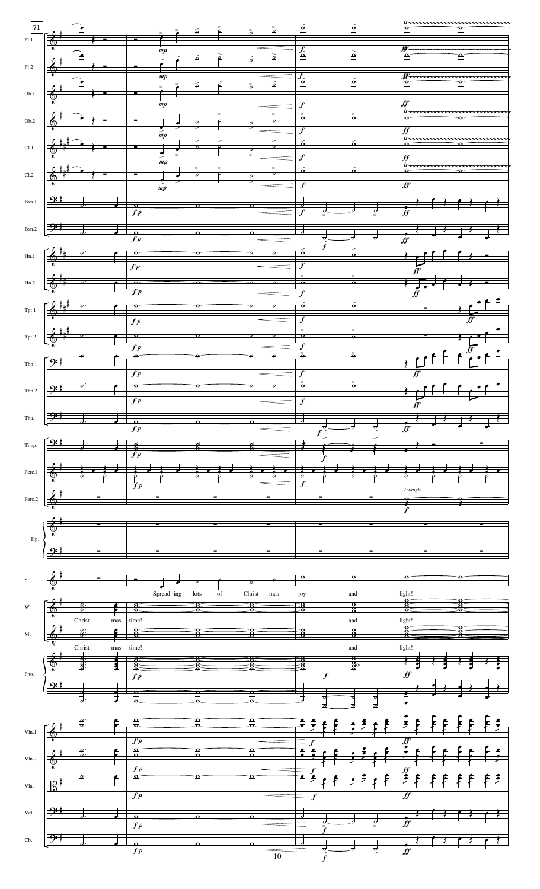| 71                                |                 |                                       |                                     |                              | ≅                                     | ρ                    |                                  | ē      | $\underline{\tilde{\mathbf{o}}}$                  |                                       | $\underline{\underline{\tilde{\mathbf{o}}}}$ |               | tr<br>$\mathbf{\Omega}$             | mmmmmmmm<br>$\mathbf{Q}$             |  |
|-----------------------------------|-----------------|---------------------------------------|-------------------------------------|------------------------------|---------------------------------------|----------------------|----------------------------------|--------|---------------------------------------------------|---------------------------------------|----------------------------------------------|---------------|-------------------------------------|--------------------------------------|--|
| F1.1                              | ₾<br>∙          |                                       |                                     |                              |                                       |                      |                                  |        |                                                   |                                       |                                              |               | Forman                              |                                      |  |
| F1.2                              |                 |                                       | $\emph{mp}$                         |                              | $\geqslant$                           | $\bar{\tilde{\rho}}$ |                                  | $\geq$ | $\underline{\mathbf{f}}$                          |                                       | $\frac{\tilde{\mathbf{o}}}{\mathbf{o}}$      |               | $\mathbf{Q}$                        | mmmm<br>$\mathbf{a}$                 |  |
|                                   | ক               |                                       | $\emph{mp}$                         |                              |                                       | $\frac{1}{2}$        |                                  | $\geq$ | $\frac{f}{\underline{\mathbf{a}}}$                |                                       | $\underline{\tilde{\mathbf{a}}}$             |               | ffinnum<br>$\mathbf{\Omega}$        | $\overline{\mathbf{v}}$              |  |
| Ob.1                              |                 |                                       |                                     |                              | $\geqslant$                           |                      |                                  |        |                                                   |                                       |                                              |               |                                     |                                      |  |
|                                   |                 |                                       | $\emph{mp}$                         |                              |                                       |                      |                                  |        | $\boldsymbol{f}$                                  |                                       |                                              |               | $\overline{f}$<br>tr                |                                      |  |
| Ob.2                              |                 |                                       |                                     |                              |                                       |                      |                                  |        | $\bullet$<br>$\overline{f}$                       |                                       | $\overline{\bullet}$                         |               | $\bullet$<br>$\overline{f}$         | $\overline{\mathbf{e}}$              |  |
| Cl.1                              |                 |                                       | $\sum_{m,p}$                        |                              |                                       |                      |                                  |        | $\frac{1}{\sigma}$                                |                                       | $\frac{1}{\sigma}$                           |               | tr<br>$\mathbf{o}$                  | $\mathbf{o}$                         |  |
|                                   |                 |                                       | $\emph{mp}$                         |                              |                                       |                      |                                  |        | $\boldsymbol{f}$<br>$\geq$                        |                                       |                                              |               | $\overline{f}$<br>themmun           | mmm                                  |  |
| $\rm Cl.2$                        |                 |                                       |                                     |                              |                                       |                      |                                  |        | $\overline{\mathbf{o}}$                           |                                       | $\frac{1}{\alpha}$                           |               | $\mathbf{o}$                        | $\overline{\mathbf{o}}$              |  |
|                                   | <u>. (م</u>     |                                       | $\sum_{m,p}$                        |                              |                                       |                      |                                  |        | $\boldsymbol{f}$                                  |                                       |                                              |               | $f\hspace{-0.1cm}f$                 |                                      |  |
| Bsn.1                             |                 |                                       | $\mathbf{o}$<br>$\mathfrak{fp}$     |                              | $\sigma$                              |                      | $\mathbf \sigma$                 |        | ♂<br>$\mathcal{f}$                                | ᢦ                                     | ಶ                                            | टू            | $\check{\mathbf{\mathit{ff}}}$      |                                      |  |
| Bsn.2                             | ↔               |                                       | $\mathbf{o}$ .                      |                              | $\bullet$                             |                      |                                  |        |                                                   |                                       |                                              |               |                                     |                                      |  |
|                                   |                 |                                       | $\boldsymbol{fp}$                   |                              |                                       |                      |                                  |        | >                                                 | ォ                                     |                                              |               | $\dot{f}\!\!f$                      |                                      |  |
| Hn.1                              |                 |                                       | $\bullet$<br>$\boldsymbol{fp}$      |                              | $\overline{\bullet}$                  |                      |                                  |        | $\overline{\bullet}$<br>$\overline{f}$            |                                       | $\Omega$                                     |               |                                     |                                      |  |
| Hn.2                              |                 |                                       | $\bullet$                           |                              | $\bullet$                             |                      |                                  |        | $\overline{\mathbf{e}}$                           |                                       | $\overline{\bullet}$                         |               | ff                                  |                                      |  |
|                                   |                 |                                       | $\overline{fp}$                     |                              |                                       |                      |                                  |        | $\boldsymbol{f}$                                  |                                       |                                              |               | f f                                 |                                      |  |
| $\operatorname{Tpt}.1$            |                 |                                       | $\mathbf{o}$                        |                              | $\mathbf{o}$                          |                      |                                  |        | $\ddot{\mathbf{o}}$                               |                                       | $\frac{1}{\sigma}$                           |               |                                     |                                      |  |
|                                   |                 |                                       | $\boldsymbol{fp}$<br>o              |                              | þ                                     |                      |                                  |        | $\overline{f}$<br>><br>$\Omega$                   |                                       | >                                            |               |                                     | $\overline{\mathbf{f}^{\mathbf{f}}}$ |  |
| Tpt.2                             |                 |                                       | $\mathfrak{fp}$                     |                              |                                       |                      |                                  |        | $\boldsymbol{f}$                                  |                                       | $\overline{\bullet}$                         |               |                                     |                                      |  |
| Tbn.1                             | <del>-4):</del> |                                       | ٠                                   |                              | ⊖                                     |                      |                                  |        | $\tilde{\tilde{\mathbf{e}}}$                      |                                       | $\stackrel{>}{\bullet}$                      |               |                                     |                                      |  |
|                                   |                 |                                       | $\overline{fp}$<br>ө                |                              | ⊖                                     |                      |                                  |        | $\boldsymbol{f}$<br>$\geq$<br>$\ddot{\mathbf{o}}$ |                                       | $\Rightarrow$<br>$\ddot{\mathbf{e}}$         |               | $\overline{f}$                      |                                      |  |
| Tbn.2                             | <u>y:</u>       |                                       | $\mathfrak{fp}$                     |                              |                                       |                      |                                  |        | $\boldsymbol{f}$                                  |                                       |                                              |               |                                     |                                      |  |
| Tba.                              |                 |                                       |                                     |                              |                                       |                      |                                  |        |                                                   |                                       |                                              |               | f f                                 |                                      |  |
|                                   |                 |                                       | $\boldsymbol{fp}$                   |                              |                                       |                      |                                  |        |                                                   | $\overline{f}$                        |                                              | ₫             | $\check{f}$                         |                                      |  |
|                                   |                 |                                       |                                     |                              |                                       |                      |                                  |        |                                                   |                                       |                                              |               |                                     |                                      |  |
|                                   | <u> {</u>       |                                       |                                     |                              | É                                     |                      | $\overline{\bm{\mathcal{E}}}$    |        | ₹                                                 |                                       |                                              |               |                                     |                                      |  |
|                                   |                 |                                       | $\frac{2}{f p}$                     |                              |                                       |                      |                                  |        |                                                   |                                       |                                              |               |                                     |                                      |  |
| Perc.1                            |                 |                                       |                                     |                              |                                       |                      |                                  |        |                                                   |                                       |                                              |               |                                     |                                      |  |
|                                   |                 |                                       | $\boldsymbol{fp}$                   |                              |                                       |                      |                                  |        |                                                   |                                       |                                              |               | Triangle<br>$\frac{1}{2}$           |                                      |  |
|                                   |                 |                                       |                                     |                              |                                       |                      |                                  |        |                                                   |                                       |                                              |               | $\boldsymbol{f}$                    |                                      |  |
| Timp.<br>Perc.2                   |                 |                                       |                                     |                              |                                       |                      |                                  |        |                                                   |                                       |                                              |               |                                     |                                      |  |
| Hp.                               |                 |                                       |                                     |                              |                                       |                      |                                  |        |                                                   |                                       |                                              |               |                                     |                                      |  |
|                                   |                 |                                       |                                     |                              |                                       |                      |                                  |        |                                                   |                                       |                                              |               |                                     |                                      |  |
|                                   |                 |                                       |                                     |                              |                                       |                      |                                  |        | $\bullet$                                         |                                       | $\bullet$                                    |               | $\bullet$                           | $\bullet$                            |  |
|                                   |                 |                                       |                                     | ${\rm Spread}$ - ${\rm ing}$ | lots                                  | of                   | Christ - mas                     |        | joy                                               |                                       | and                                          |               | light!<br>$\mathbf o$               |                                      |  |
|                                   |                 | ${\rm Christ}$<br>mas time!<br>$\sim$ |                                     |                              | 8                                     |                      | 8                                |        | $\overline{\mathbf{8}}$                           |                                       | $\frac{1}{8}$<br>and                         |               | light!                              |                                      |  |
| ${\bf S}.$<br>W.<br>$\mathbf{M}.$ |                 |                                       | 8                                   |                              | 8                                     |                      |                                  |        | 8                                                 |                                       | $\frac{8}{3}$                                |               | $\mathbf{o}$                        |                                      |  |
|                                   |                 | Christ<br>mas time!<br>$\sim$         |                                     |                              |                                       |                      |                                  |        |                                                   |                                       | and                                          |               | light!                              |                                      |  |
| Pno.                              |                 |                                       | ğ                                   |                              |                                       |                      |                                  |        |                                                   |                                       | $\frac{4}{9}$                                |               |                                     |                                      |  |
|                                   | ↔               |                                       | $\mathfrak{fp}$                     |                              |                                       |                      | $\sigma$                         |        |                                                   | $\boldsymbol{f}$                      |                                              |               | $f\hspace{-0.1cm}f\hspace{-0.1cm}f$ |                                      |  |
|                                   |                 | ţ.                                    | $\mathbf{o}$<br>$\overline{4}$      |                              | $\bar{\bar{\bullet}}$                 |                      | $\bar{a}$                        |        | ま                                                 | य<br>च                                | य<br>च                                       | $\frac{1}{4}$ | ₹                                   |                                      |  |
|                                   |                 |                                       | $\mathbf{a}$<br>$\sigma$            |                              | $\mathbf{a}$<br>σ.                    |                      | $\mathbf{\Omega}^{\prime}$<br>Ω. |        |                                                   |                                       |                                              |               |                                     |                                      |  |
| $_{\rm Vln.1}$                    |                 |                                       | $\overline{fp}$                     |                              |                                       |                      |                                  |        | $\boldsymbol{f}$                                  |                                       |                                              |               | $\overline{\mathbf{\mathcal{F}}}$   |                                      |  |
|                                   |                 |                                       | $\Omega^-$<br>$\mathbf{o}$ .        |                              | $\mathbf{\Omega}^*$<br>$\mathbf{o}$ . |                      | $\frac{1}{\alpha}$               |        |                                                   |                                       |                                              |               |                                     |                                      |  |
|                                   |                 |                                       | $\overline{fp}$<br>$\pmb{\Omega}^-$ |                              | $\mathbf{a}^-$                        |                      | $\mathbf{a}$                     |        |                                                   |                                       |                                              |               | ∄                                   |                                      |  |
| Vln.2<br>Vla.                     |                 |                                       |                                     |                              |                                       |                      |                                  |        |                                                   |                                       |                                              |               |                                     |                                      |  |
|                                   | $\Omega:$       |                                       | $\overline{fp}$                     |                              |                                       |                      |                                  |        | $\boldsymbol{f}$                                  |                                       |                                              |               | $\overline{f}$                      |                                      |  |
| Vcl.                              |                 |                                       | $\mathbf{o}$ .<br>$\mathfrak{fp}$   |                              | $\Omega$                              |                      | $\Omega$                         |        |                                                   |                                       | .J                                           | र्            | $\overline{f}$                      |                                      |  |
| $\mathrm{Cb.}$                    | <u> 9:</u>      |                                       | $\frac{\sigma}{\sqrt{f p}}$         |                              | $\overline{\mathbf{0}}$               |                      | $\overline{\mathbf{o}}$ .        |        | $\overline{\phantom{a}}$                          | $\overrightarrow{f}$<br>$\frac{1}{g}$ | ಶ                                            | र्            | $\frac{1}{f}$                       |                                      |  |